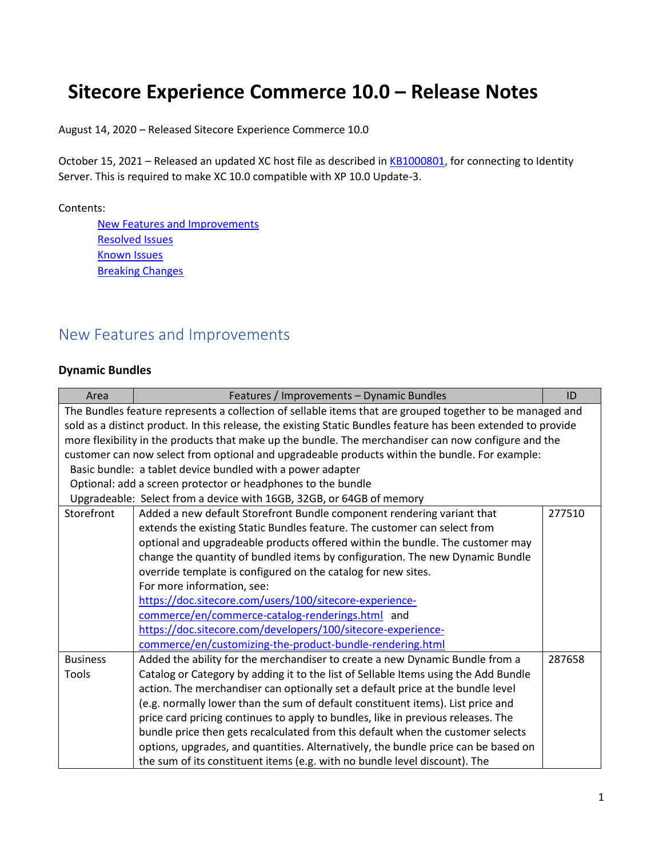# **Sitecore Experience Commerce 10.0 – Release Notes**

August 14, 2020 – Released Sitecore Experience Commerce 10.0

October 15, 2021 – Released an updated XC host file as described in [KB1000801,](https://support.sitecore.com/kb?id=kb_article_view&sysparm_article=KB1000801) for connecting to Identity Server. This is required to make XC 10.0 compatible with XP 10.0 Update-3.

Contents:

[New Features and Improvements](#page-0-0) [Resolved Issues](#page-11-0) [Known Issues](#page-16-0) **[Breaking Changes](#page-18-0)** 

## <span id="page-0-0"></span>New Features and Improvements

#### **Dynamic Bundles**

| Area                                                                                                          | Features / Improvements - Dynamic Bundles                                                      | ID     |
|---------------------------------------------------------------------------------------------------------------|------------------------------------------------------------------------------------------------|--------|
| The Bundles feature represents a collection of sellable items that are grouped together to be managed and     |                                                                                                |        |
| sold as a distinct product. In this release, the existing Static Bundles feature has been extended to provide |                                                                                                |        |
| more flexibility in the products that make up the bundle. The merchandiser can now configure and the          |                                                                                                |        |
|                                                                                                               | customer can now select from optional and upgradeable products within the bundle. For example: |        |
|                                                                                                               | Basic bundle: a tablet device bundled with a power adapter                                     |        |
|                                                                                                               | Optional: add a screen protector or headphones to the bundle                                   |        |
|                                                                                                               | Upgradeable: Select from a device with 16GB, 32GB, or 64GB of memory                           |        |
| Storefront                                                                                                    | Added a new default Storefront Bundle component rendering variant that                         | 277510 |
|                                                                                                               | extends the existing Static Bundles feature. The customer can select from                      |        |
|                                                                                                               | optional and upgradeable products offered within the bundle. The customer may                  |        |
|                                                                                                               | change the quantity of bundled items by configuration. The new Dynamic Bundle                  |        |
|                                                                                                               | override template is configured on the catalog for new sites.                                  |        |
|                                                                                                               | For more information, see:                                                                     |        |
|                                                                                                               | https://doc.sitecore.com/users/100/sitecore-experience-                                        |        |
|                                                                                                               | commerce/en/commerce-catalog-renderings.html and                                               |        |
|                                                                                                               | https://doc.sitecore.com/developers/100/sitecore-experience-                                   |        |
|                                                                                                               | commerce/en/customizing-the-product-bundle-rendering.html                                      |        |
| <b>Business</b>                                                                                               | Added the ability for the merchandiser to create a new Dynamic Bundle from a                   | 287658 |
| Tools                                                                                                         | Catalog or Category by adding it to the list of Sellable Items using the Add Bundle            |        |
|                                                                                                               | action. The merchandiser can optionally set a default price at the bundle level                |        |
|                                                                                                               | (e.g. normally lower than the sum of default constituent items). List price and                |        |
|                                                                                                               | price card pricing continues to apply to bundles, like in previous releases. The               |        |
|                                                                                                               | bundle price then gets recalculated from this default when the customer selects                |        |
|                                                                                                               | options, upgrades, and quantities. Alternatively, the bundle price can be based on             |        |
|                                                                                                               | the sum of its constituent items (e.g. with no bundle level discount). The                     |        |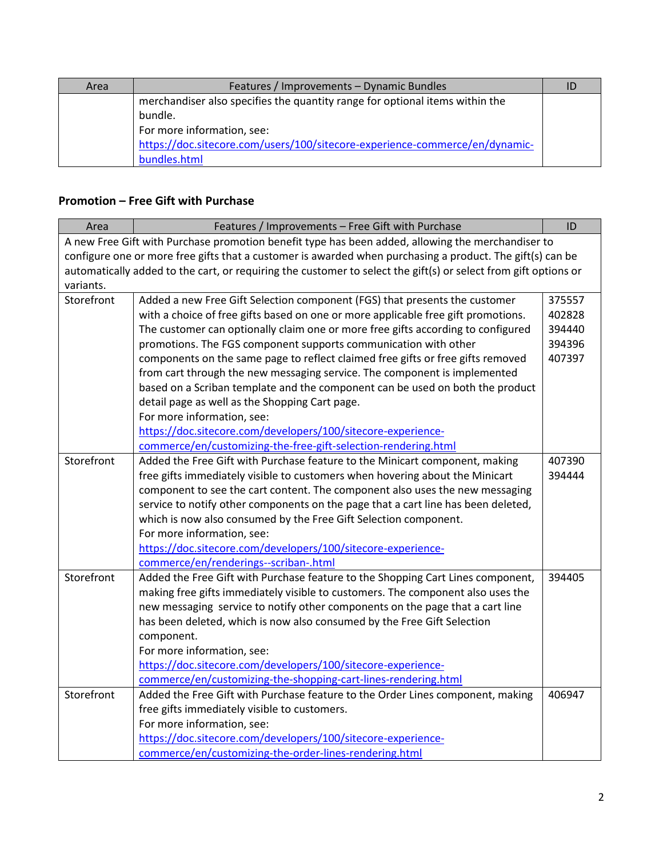| Area | Features / Improvements - Dynamic Bundles                                    |  |
|------|------------------------------------------------------------------------------|--|
|      | merchandiser also specifies the quantity range for optional items within the |  |
|      | bundle.                                                                      |  |
|      | For more information, see:                                                   |  |
|      | https://doc.sitecore.com/users/100/sitecore-experience-commerce/en/dynamic-  |  |
|      | bundles.html                                                                 |  |

## **Promotion – Free Gift with Purchase**

| Area                                                                                                            | Features / Improvements - Free Gift with Purchase                                                 | ID     |
|-----------------------------------------------------------------------------------------------------------------|---------------------------------------------------------------------------------------------------|--------|
|                                                                                                                 | A new Free Gift with Purchase promotion benefit type has been added, allowing the merchandiser to |        |
| configure one or more free gifts that a customer is awarded when purchasing a product. The gift(s) can be       |                                                                                                   |        |
| automatically added to the cart, or requiring the customer to select the gift(s) or select from gift options or |                                                                                                   |        |
| variants.                                                                                                       |                                                                                                   |        |
| Storefront                                                                                                      | Added a new Free Gift Selection component (FGS) that presents the customer                        | 375557 |
|                                                                                                                 | with a choice of free gifts based on one or more applicable free gift promotions.                 | 402828 |
|                                                                                                                 | The customer can optionally claim one or more free gifts according to configured                  | 394440 |
|                                                                                                                 | promotions. The FGS component supports communication with other                                   | 394396 |
|                                                                                                                 | components on the same page to reflect claimed free gifts or free gifts removed                   | 407397 |
|                                                                                                                 | from cart through the new messaging service. The component is implemented                         |        |
|                                                                                                                 | based on a Scriban template and the component can be used on both the product                     |        |
|                                                                                                                 | detail page as well as the Shopping Cart page.                                                    |        |
|                                                                                                                 | For more information, see:                                                                        |        |
|                                                                                                                 | https://doc.sitecore.com/developers/100/sitecore-experience-                                      |        |
|                                                                                                                 | commerce/en/customizing-the-free-gift-selection-rendering.html                                    |        |
| Storefront                                                                                                      | Added the Free Gift with Purchase feature to the Minicart component, making                       | 407390 |
|                                                                                                                 | free gifts immediately visible to customers when hovering about the Minicart                      | 394444 |
|                                                                                                                 | component to see the cart content. The component also uses the new messaging                      |        |
|                                                                                                                 | service to notify other components on the page that a cart line has been deleted,                 |        |
|                                                                                                                 | which is now also consumed by the Free Gift Selection component.                                  |        |
|                                                                                                                 | For more information, see:                                                                        |        |
|                                                                                                                 | https://doc.sitecore.com/developers/100/sitecore-experience-                                      |        |
|                                                                                                                 | commerce/en/renderings--scriban-.html                                                             |        |
| Storefront                                                                                                      | Added the Free Gift with Purchase feature to the Shopping Cart Lines component,                   | 394405 |
|                                                                                                                 | making free gifts immediately visible to customers. The component also uses the                   |        |
|                                                                                                                 | new messaging service to notify other components on the page that a cart line                     |        |
|                                                                                                                 | has been deleted, which is now also consumed by the Free Gift Selection                           |        |
|                                                                                                                 | component.                                                                                        |        |
|                                                                                                                 | For more information, see:                                                                        |        |
|                                                                                                                 | https://doc.sitecore.com/developers/100/sitecore-experience-                                      |        |
|                                                                                                                 | commerce/en/customizing-the-shopping-cart-lines-rendering.html                                    |        |
| Storefront                                                                                                      | Added the Free Gift with Purchase feature to the Order Lines component, making                    | 406947 |
|                                                                                                                 | free gifts immediately visible to customers.                                                      |        |
|                                                                                                                 | For more information, see:                                                                        |        |
|                                                                                                                 | https://doc.sitecore.com/developers/100/sitecore-experience-                                      |        |
|                                                                                                                 | commerce/en/customizing-the-order-lines-rendering.html                                            |        |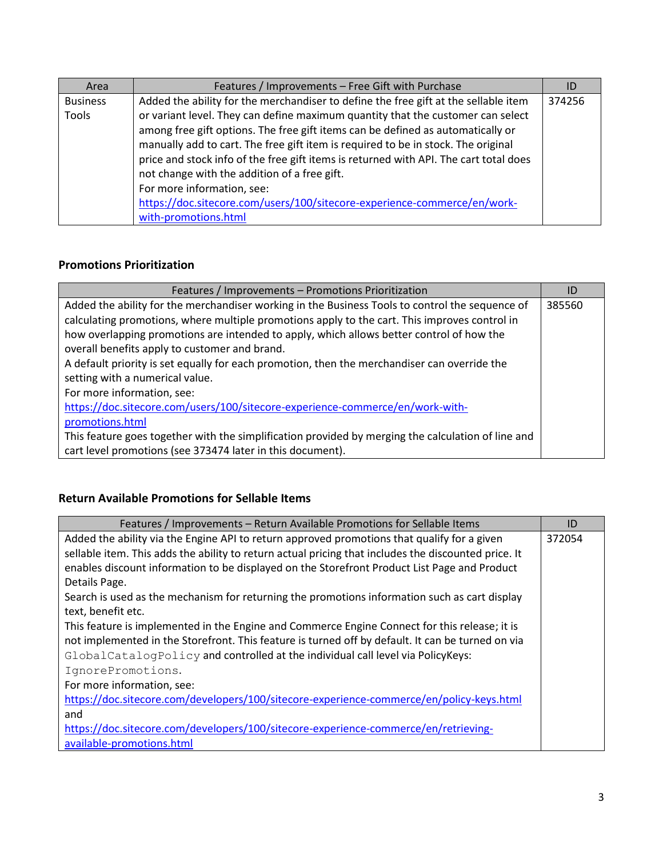| Area            | Features / Improvements - Free Gift with Purchase                                     | ID     |
|-----------------|---------------------------------------------------------------------------------------|--------|
| <b>Business</b> | Added the ability for the merchandiser to define the free gift at the sellable item   | 374256 |
| Tools           | or variant level. They can define maximum quantity that the customer can select       |        |
|                 | among free gift options. The free gift items can be defined as automatically or       |        |
|                 | manually add to cart. The free gift item is required to be in stock. The original     |        |
|                 | price and stock info of the free gift items is returned with API. The cart total does |        |
|                 | not change with the addition of a free gift.                                          |        |
|                 | For more information, see:                                                            |        |
|                 | https://doc.sitecore.com/users/100/sitecore-experience-commerce/en/work-              |        |
|                 | with-promotions.html                                                                  |        |

## **Promotions Prioritization**

| Features / Improvements - Promotions Prioritization                                                | ID     |
|----------------------------------------------------------------------------------------------------|--------|
| Added the ability for the merchandiser working in the Business Tools to control the sequence of    | 385560 |
| calculating promotions, where multiple promotions apply to the cart. This improves control in      |        |
| how overlapping promotions are intended to apply, which allows better control of how the           |        |
| overall benefits apply to customer and brand.                                                      |        |
| A default priority is set equally for each promotion, then the merchandiser can override the       |        |
| setting with a numerical value.                                                                    |        |
| For more information, see:                                                                         |        |
| https://doc.sitecore.com/users/100/sitecore-experience-commerce/en/work-with-                      |        |
| promotions.html                                                                                    |        |
| This feature goes together with the simplification provided by merging the calculation of line and |        |
| cart level promotions (see 373474 later in this document).                                         |        |

### **Return Available Promotions for Sellable Items**

| Features / Improvements - Return Available Promotions for Sellable Items                             | ID     |
|------------------------------------------------------------------------------------------------------|--------|
| Added the ability via the Engine API to return approved promotions that qualify for a given          | 372054 |
| sellable item. This adds the ability to return actual pricing that includes the discounted price. It |        |
| enables discount information to be displayed on the Storefront Product List Page and Product         |        |
| Details Page.                                                                                        |        |
| Search is used as the mechanism for returning the promotions information such as cart display        |        |
| text, benefit etc.                                                                                   |        |
| This feature is implemented in the Engine and Commerce Engine Connect for this release; it is        |        |
| not implemented in the Storefront. This feature is turned off by default. It can be turned on via    |        |
| GlobalCatalogPolicy and controlled at the individual call level via PolicyKeys:                      |        |
| IgnorePromotions.                                                                                    |        |
| For more information, see:                                                                           |        |
| https://doc.sitecore.com/developers/100/sitecore-experience-commerce/en/policy-keys.html             |        |
| and                                                                                                  |        |
| https://doc.sitecore.com/developers/100/sitecore-experience-commerce/en/retrieving-                  |        |
| available-promotions.html                                                                            |        |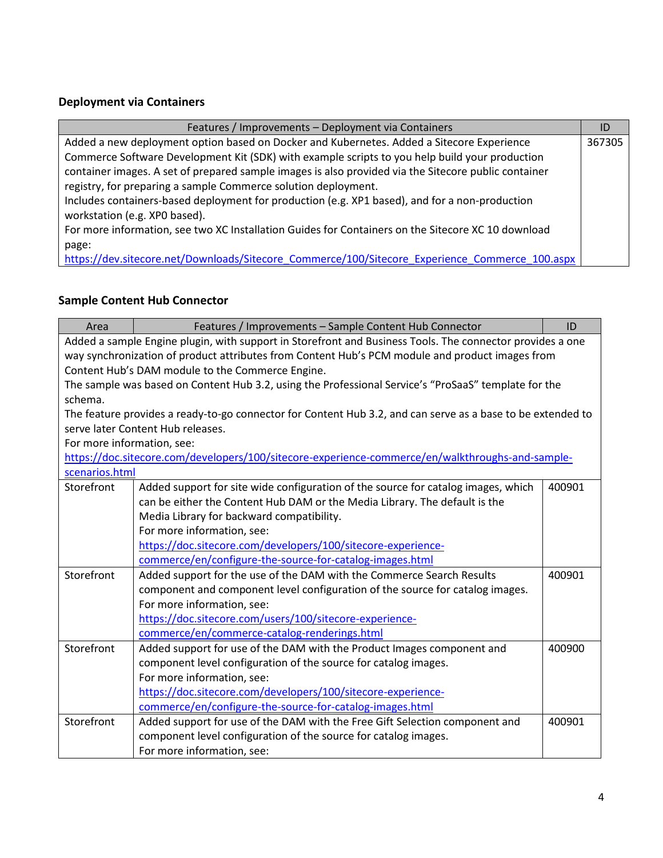#### **Deployment via Containers**

| Features / Improvements - Deployment via Containers                                                  | ID     |
|------------------------------------------------------------------------------------------------------|--------|
| Added a new deployment option based on Docker and Kubernetes. Added a Sitecore Experience            | 367305 |
| Commerce Software Development Kit (SDK) with example scripts to you help build your production       |        |
| container images. A set of prepared sample images is also provided via the Sitecore public container |        |
| registry, for preparing a sample Commerce solution deployment.                                       |        |
| Includes containers-based deployment for production (e.g. XP1 based), and for a non-production       |        |
| workstation (e.g. XPO based).                                                                        |        |
| For more information, see two XC Installation Guides for Containers on the Sitecore XC 10 download   |        |
| page:                                                                                                |        |
| https://dev.sitecore.net/Downloads/Sitecore Commerce/100/Sitecore Experience Commerce 100.aspx       |        |

# **Sample Content Hub Connector**

| Area                                                                                                      | Features / Improvements - Sample Content Hub Connector                                                      | ID     |
|-----------------------------------------------------------------------------------------------------------|-------------------------------------------------------------------------------------------------------------|--------|
| Added a sample Engine plugin, with support in Storefront and Business Tools. The connector provides a one |                                                                                                             |        |
| way synchronization of product attributes from Content Hub's PCM module and product images from           |                                                                                                             |        |
|                                                                                                           | Content Hub's DAM module to the Commerce Engine.                                                            |        |
|                                                                                                           | The sample was based on Content Hub 3.2, using the Professional Service's "ProSaaS" template for the        |        |
| schema.                                                                                                   |                                                                                                             |        |
|                                                                                                           | The feature provides a ready-to-go connector for Content Hub 3.2, and can serve as a base to be extended to |        |
|                                                                                                           | serve later Content Hub releases.                                                                           |        |
| For more information, see:                                                                                |                                                                                                             |        |
|                                                                                                           | https://doc.sitecore.com/developers/100/sitecore-experience-commerce/en/walkthroughs-and-sample-            |        |
| scenarios.html                                                                                            |                                                                                                             |        |
| Storefront                                                                                                | Added support for site wide configuration of the source for catalog images, which                           | 400901 |
|                                                                                                           | can be either the Content Hub DAM or the Media Library. The default is the                                  |        |
|                                                                                                           | Media Library for backward compatibility.                                                                   |        |
|                                                                                                           | For more information, see:                                                                                  |        |
|                                                                                                           | https://doc.sitecore.com/developers/100/sitecore-experience-                                                |        |
|                                                                                                           | commerce/en/configure-the-source-for-catalog-images.html                                                    |        |
| Storefront                                                                                                | Added support for the use of the DAM with the Commerce Search Results                                       | 400901 |
|                                                                                                           | component and component level configuration of the source for catalog images.                               |        |
|                                                                                                           | For more information, see:                                                                                  |        |
|                                                                                                           | https://doc.sitecore.com/users/100/sitecore-experience-                                                     |        |
|                                                                                                           | commerce/en/commerce-catalog-renderings.html                                                                |        |
| Storefront                                                                                                | Added support for use of the DAM with the Product Images component and                                      | 400900 |
|                                                                                                           | component level configuration of the source for catalog images.                                             |        |
|                                                                                                           | For more information, see:                                                                                  |        |
|                                                                                                           | https://doc.sitecore.com/developers/100/sitecore-experience-                                                |        |
|                                                                                                           | commerce/en/configure-the-source-for-catalog-images.html                                                    |        |
| Storefront                                                                                                | Added support for use of the DAM with the Free Gift Selection component and                                 | 400901 |
|                                                                                                           | component level configuration of the source for catalog images.                                             |        |
|                                                                                                           | For more information, see:                                                                                  |        |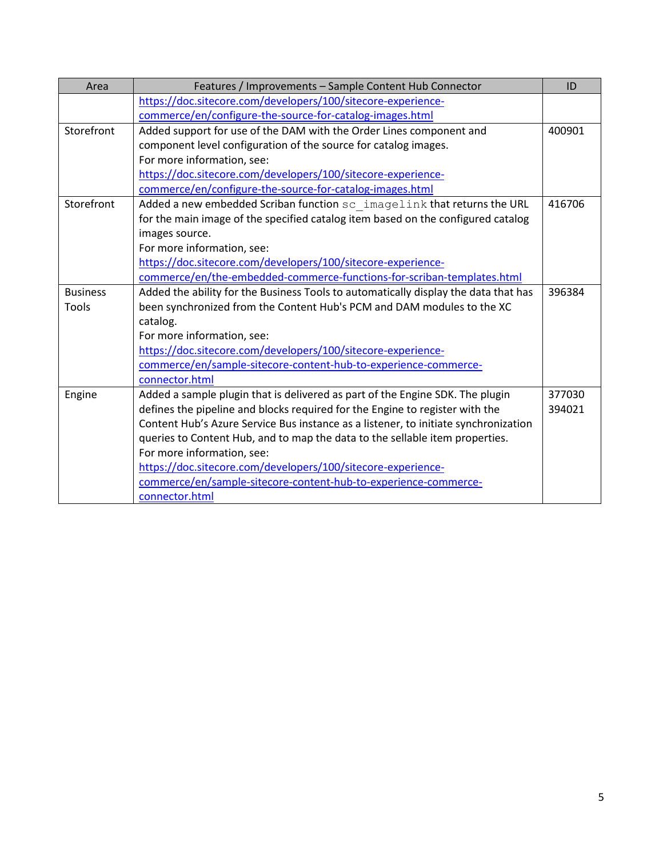| Area            | Features / Improvements - Sample Content Hub Connector                              | ID     |
|-----------------|-------------------------------------------------------------------------------------|--------|
|                 | https://doc.sitecore.com/developers/100/sitecore-experience-                        |        |
|                 | commerce/en/configure-the-source-for-catalog-images.html                            |        |
| Storefront      | Added support for use of the DAM with the Order Lines component and                 | 400901 |
|                 | component level configuration of the source for catalog images.                     |        |
|                 | For more information, see:                                                          |        |
|                 | https://doc.sitecore.com/developers/100/sitecore-experience-                        |        |
|                 | commerce/en/configure-the-source-for-catalog-images.html                            |        |
| Storefront      | Added a new embedded Scriban function sc imagelink that returns the URL             | 416706 |
|                 | for the main image of the specified catalog item based on the configured catalog    |        |
|                 | images source.                                                                      |        |
|                 | For more information, see:                                                          |        |
|                 | https://doc.sitecore.com/developers/100/sitecore-experience-                        |        |
|                 | commerce/en/the-embedded-commerce-functions-for-scriban-templates.html              |        |
| <b>Business</b> | Added the ability for the Business Tools to automatically display the data that has | 396384 |
| Tools           | been synchronized from the Content Hub's PCM and DAM modules to the XC              |        |
|                 | catalog.                                                                            |        |
|                 | For more information, see:                                                          |        |
|                 | https://doc.sitecore.com/developers/100/sitecore-experience-                        |        |
|                 | commerce/en/sample-sitecore-content-hub-to-experience-commerce-                     |        |
|                 | connector.html                                                                      |        |
| Engine          | Added a sample plugin that is delivered as part of the Engine SDK. The plugin       | 377030 |
|                 | defines the pipeline and blocks required for the Engine to register with the        | 394021 |
|                 | Content Hub's Azure Service Bus instance as a listener, to initiate synchronization |        |
|                 | queries to Content Hub, and to map the data to the sellable item properties.        |        |
|                 | For more information, see:                                                          |        |
|                 | https://doc.sitecore.com/developers/100/sitecore-experience-                        |        |
|                 | commerce/en/sample-sitecore-content-hub-to-experience-commerce-                     |        |
|                 | connector.html                                                                      |        |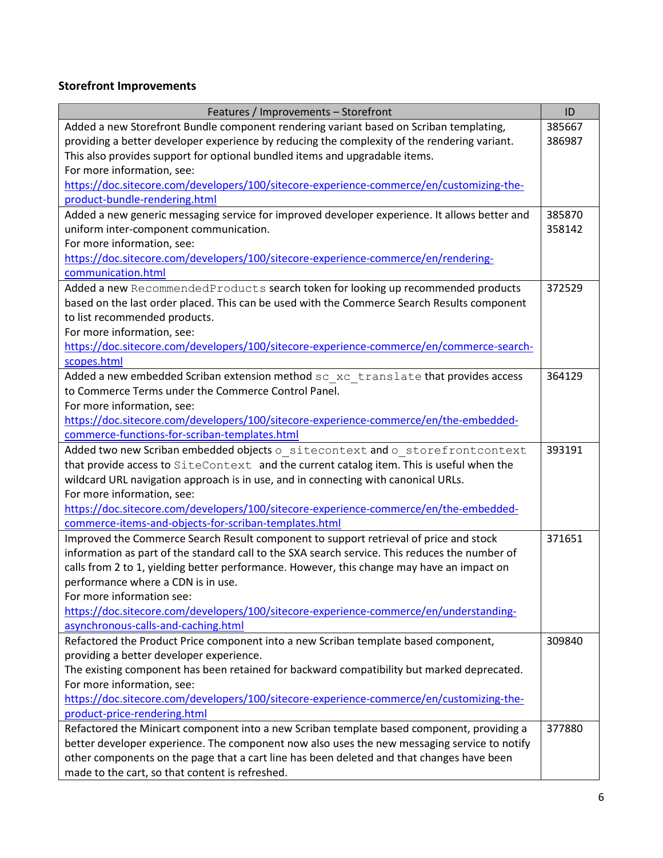## **Storefront Improvements**

| Features / Improvements - Storefront                                                           | ID     |
|------------------------------------------------------------------------------------------------|--------|
| Added a new Storefront Bundle component rendering variant based on Scriban templating,         | 385667 |
| providing a better developer experience by reducing the complexity of the rendering variant.   | 386987 |
| This also provides support for optional bundled items and upgradable items.                    |        |
| For more information, see:                                                                     |        |
| https://doc.sitecore.com/developers/100/sitecore-experience-commerce/en/customizing-the-       |        |
| product-bundle-rendering.html                                                                  |        |
| Added a new generic messaging service for improved developer experience. It allows better and  | 385870 |
| uniform inter-component communication.                                                         | 358142 |
| For more information, see:                                                                     |        |
| https://doc.sitecore.com/developers/100/sitecore-experience-commerce/en/rendering-             |        |
| communication.html                                                                             |        |
| Added a new RecommendedProducts search token for looking up recommended products               | 372529 |
| based on the last order placed. This can be used with the Commerce Search Results component    |        |
| to list recommended products.                                                                  |        |
| For more information, see:                                                                     |        |
| https://doc.sitecore.com/developers/100/sitecore-experience-commerce/en/commerce-search-       |        |
| scopes.html                                                                                    |        |
| Added a new embedded Scriban extension method sc xc translate that provides access             | 364129 |
| to Commerce Terms under the Commerce Control Panel.                                            |        |
| For more information, see:                                                                     |        |
| https://doc.sitecore.com/developers/100/sitecore-experience-commerce/en/the-embedded-          |        |
| commerce-functions-for-scriban-templates.html                                                  |        |
| Added two new Scriban embedded objects o sitecontext and o storefrontcontext                   | 393191 |
| that provide access to SiteContext and the current catalog item. This is useful when the       |        |
| wildcard URL navigation approach is in use, and in connecting with canonical URLs.             |        |
| For more information, see:                                                                     |        |
| https://doc.sitecore.com/developers/100/sitecore-experience-commerce/en/the-embedded-          |        |
| commerce-items-and-objects-for-scriban-templates.html                                          |        |
| Improved the Commerce Search Result component to support retrieval of price and stock          | 371651 |
| information as part of the standard call to the SXA search service. This reduces the number of |        |
| calls from 2 to 1, yielding better performance. However, this change may have an impact on     |        |
| performance where a CDN is in use.                                                             |        |
| For more information see:                                                                      |        |
| https://doc.sitecore.com/developers/100/sitecore-experience-commerce/en/understanding-         |        |
| asynchronous-calls-and-caching.html                                                            |        |
| Refactored the Product Price component into a new Scriban template based component,            | 309840 |
| providing a better developer experience.                                                       |        |
| The existing component has been retained for backward compatibility but marked deprecated.     |        |
| For more information, see:                                                                     |        |
| https://doc.sitecore.com/developers/100/sitecore-experience-commerce/en/customizing-the-       |        |
| product-price-rendering.html                                                                   |        |
| Refactored the Minicart component into a new Scriban template based component, providing a     | 377880 |
| better developer experience. The component now also uses the new messaging service to notify   |        |
| other components on the page that a cart line has been deleted and that changes have been      |        |
| made to the cart, so that content is refreshed.                                                |        |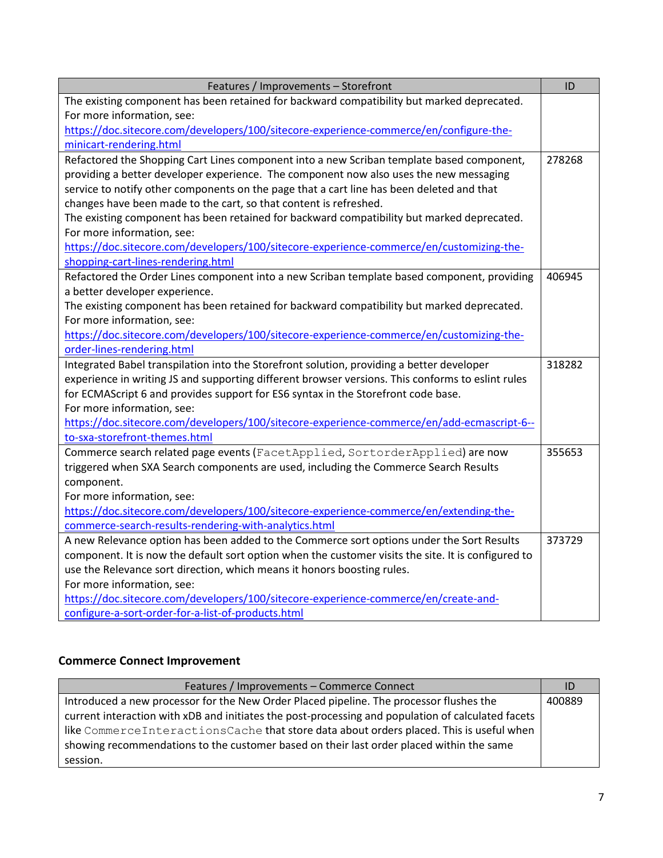| Features / Improvements - Storefront                                                                | ID     |
|-----------------------------------------------------------------------------------------------------|--------|
| The existing component has been retained for backward compatibility but marked deprecated.          |        |
| For more information, see:                                                                          |        |
| https://doc.sitecore.com/developers/100/sitecore-experience-commerce/en/configure-the-              |        |
| minicart-rendering.html                                                                             |        |
| Refactored the Shopping Cart Lines component into a new Scriban template based component,           | 278268 |
| providing a better developer experience. The component now also uses the new messaging              |        |
| service to notify other components on the page that a cart line has been deleted and that           |        |
| changes have been made to the cart, so that content is refreshed.                                   |        |
| The existing component has been retained for backward compatibility but marked deprecated.          |        |
| For more information, see:                                                                          |        |
| https://doc.sitecore.com/developers/100/sitecore-experience-commerce/en/customizing-the-            |        |
| shopping-cart-lines-rendering.html                                                                  |        |
| Refactored the Order Lines component into a new Scriban template based component, providing         | 406945 |
| a better developer experience.                                                                      |        |
| The existing component has been retained for backward compatibility but marked deprecated.          |        |
| For more information, see:                                                                          |        |
| https://doc.sitecore.com/developers/100/sitecore-experience-commerce/en/customizing-the-            |        |
| order-lines-rendering.html                                                                          |        |
| Integrated Babel transpilation into the Storefront solution, providing a better developer           | 318282 |
| experience in writing JS and supporting different browser versions. This conforms to eslint rules   |        |
| for ECMAScript 6 and provides support for ES6 syntax in the Storefront code base.                   |        |
| For more information, see:                                                                          |        |
| https://doc.sitecore.com/developers/100/sitecore-experience-commerce/en/add-ecmascript-6--          |        |
| to-sxa-storefront-themes.html                                                                       |        |
| Commerce search related page events (FacetApplied, SortorderApplied) are now                        | 355653 |
| triggered when SXA Search components are used, including the Commerce Search Results                |        |
| component.                                                                                          |        |
| For more information, see:                                                                          |        |
| https://doc.sitecore.com/developers/100/sitecore-experience-commerce/en/extending-the-              |        |
| commerce-search-results-rendering-with-analytics.html                                               |        |
| A new Relevance option has been added to the Commerce sort options under the Sort Results           | 373729 |
| component. It is now the default sort option when the customer visits the site. It is configured to |        |
| use the Relevance sort direction, which means it honors boosting rules.                             |        |
| For more information, see:                                                                          |        |
| https://doc.sitecore.com/developers/100/sitecore-experience-commerce/en/create-and-                 |        |
| configure-a-sort-order-for-a-list-of-products.html                                                  |        |

### **Commerce Connect Improvement**

| Features / Improvements - Commerce Connect                                                         | ID     |
|----------------------------------------------------------------------------------------------------|--------|
| Introduced a new processor for the New Order Placed pipeline. The processor flushes the            | 400889 |
| current interaction with xDB and initiates the post-processing and population of calculated facets |        |
| like CommerceInteractionsCache that store data about orders placed. This is useful when            |        |
| showing recommendations to the customer based on their last order placed within the same           |        |
| session.                                                                                           |        |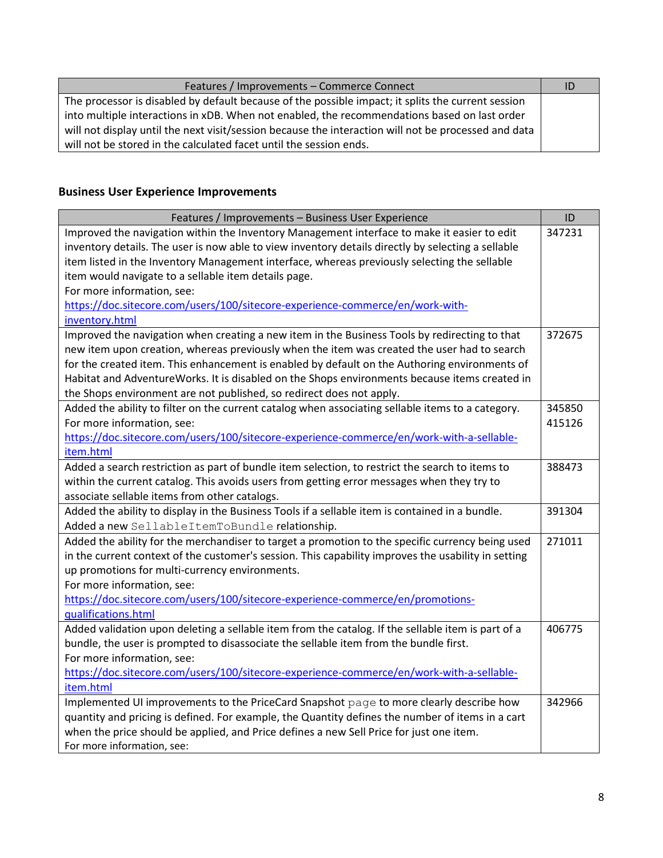| Features / Improvements - Commerce Connect                                                           | ٦D |
|------------------------------------------------------------------------------------------------------|----|
| The processor is disabled by default because of the possible impact; it splits the current session   |    |
| into multiple interactions in xDB. When not enabled, the recommendations based on last order         |    |
| will not display until the next visit/session because the interaction will not be processed and data |    |
| will not be stored in the calculated facet until the session ends.                                   |    |

#### **Business User Experience Improvements**

| Features / Improvements - Business User Experience                                                  | ID     |  |
|-----------------------------------------------------------------------------------------------------|--------|--|
| Improved the navigation within the Inventory Management interface to make it easier to edit         |        |  |
| inventory details. The user is now able to view inventory details directly by selecting a sellable  |        |  |
| item listed in the Inventory Management interface, whereas previously selecting the sellable        |        |  |
| item would navigate to a sellable item details page.                                                |        |  |
| For more information, see:                                                                          |        |  |
| https://doc.sitecore.com/users/100/sitecore-experience-commerce/en/work-with-                       |        |  |
| inventory.html                                                                                      |        |  |
| Improved the navigation when creating a new item in the Business Tools by redirecting to that       | 372675 |  |
| new item upon creation, whereas previously when the item was created the user had to search         |        |  |
| for the created item. This enhancement is enabled by default on the Authoring environments of       |        |  |
| Habitat and AdventureWorks. It is disabled on the Shops environments because items created in       |        |  |
| the Shops environment are not published, so redirect does not apply.                                |        |  |
| Added the ability to filter on the current catalog when associating sellable items to a category.   | 345850 |  |
| For more information, see:                                                                          | 415126 |  |
| https://doc.sitecore.com/users/100/sitecore-experience-commerce/en/work-with-a-sellable-            |        |  |
| item.html                                                                                           |        |  |
| Added a search restriction as part of bundle item selection, to restrict the search to items to     | 388473 |  |
| within the current catalog. This avoids users from getting error messages when they try to          |        |  |
| associate sellable items from other catalogs.                                                       |        |  |
| Added the ability to display in the Business Tools if a sellable item is contained in a bundle.     | 391304 |  |
| Added a new SellableItemToBundle relationship.                                                      |        |  |
| Added the ability for the merchandiser to target a promotion to the specific currency being used    | 271011 |  |
| in the current context of the customer's session. This capability improves the usability in setting |        |  |
| up promotions for multi-currency environments.                                                      |        |  |
| For more information, see:                                                                          |        |  |
| https://doc.sitecore.com/users/100/sitecore-experience-commerce/en/promotions-                      |        |  |
| qualifications.html                                                                                 |        |  |
| Added validation upon deleting a sellable item from the catalog. If the sellable item is part of a  | 406775 |  |
| bundle, the user is prompted to disassociate the sellable item from the bundle first.               |        |  |
| For more information, see:                                                                          |        |  |
| https://doc.sitecore.com/users/100/sitecore-experience-commerce/en/work-with-a-sellable-            |        |  |
| item.html                                                                                           |        |  |
| Implemented UI improvements to the PriceCard Snapshot page to more clearly describe how             | 342966 |  |
| quantity and pricing is defined. For example, the Quantity defines the number of items in a cart    |        |  |
| when the price should be applied, and Price defines a new Sell Price for just one item.             |        |  |
| For more information, see:                                                                          |        |  |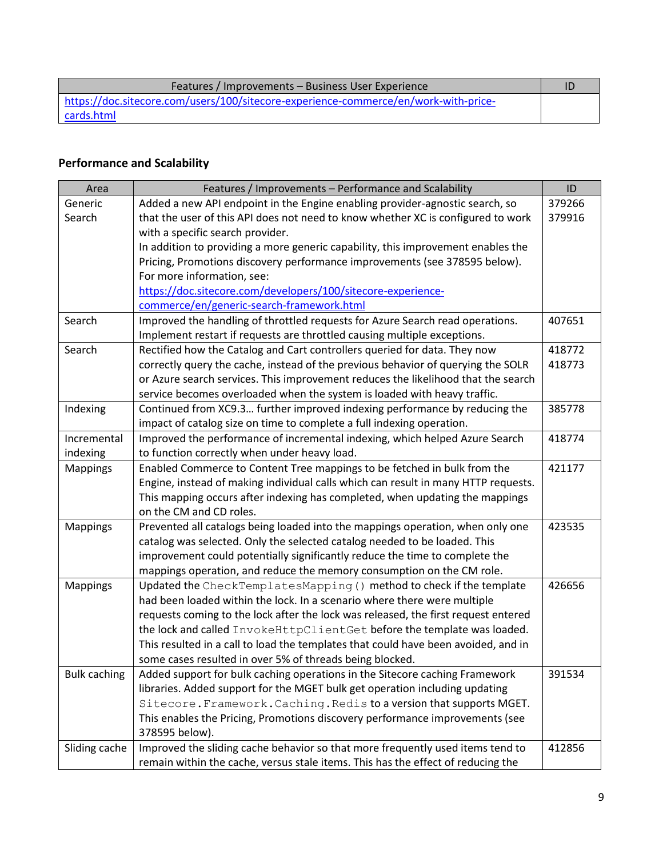| Features / Improvements – Business User Experience                                  |  |
|-------------------------------------------------------------------------------------|--|
| https://doc.sitecore.com/users/100/sitecore-experience-commerce/en/work-with-price- |  |
| cards.html                                                                          |  |

# **Performance and Scalability**

| Area                | Features / Improvements - Performance and Scalability                              | ID     |
|---------------------|------------------------------------------------------------------------------------|--------|
| Generic             | Added a new API endpoint in the Engine enabling provider-agnostic search, so       | 379266 |
| Search              | that the user of this API does not need to know whether XC is configured to work   | 379916 |
|                     | with a specific search provider.                                                   |        |
|                     | In addition to providing a more generic capability, this improvement enables the   |        |
|                     | Pricing, Promotions discovery performance improvements (see 378595 below).         |        |
|                     | For more information, see:                                                         |        |
|                     | https://doc.sitecore.com/developers/100/sitecore-experience-                       |        |
|                     | commerce/en/generic-search-framework.html                                          |        |
| Search              | Improved the handling of throttled requests for Azure Search read operations.      | 407651 |
|                     | Implement restart if requests are throttled causing multiple exceptions.           |        |
| Search              | Rectified how the Catalog and Cart controllers queried for data. They now          | 418772 |
|                     | correctly query the cache, instead of the previous behavior of querying the SOLR   | 418773 |
|                     | or Azure search services. This improvement reduces the likelihood that the search  |        |
|                     | service becomes overloaded when the system is loaded with heavy traffic.           |        |
| Indexing            | Continued from XC9.3 further improved indexing performance by reducing the         | 385778 |
|                     | impact of catalog size on time to complete a full indexing operation.              |        |
| Incremental         | Improved the performance of incremental indexing, which helped Azure Search        | 418774 |
| indexing            | to function correctly when under heavy load.                                       |        |
| <b>Mappings</b>     | Enabled Commerce to Content Tree mappings to be fetched in bulk from the           | 421177 |
|                     | Engine, instead of making individual calls which can result in many HTTP requests. |        |
|                     | This mapping occurs after indexing has completed, when updating the mappings       |        |
|                     | on the CM and CD roles.                                                            |        |
| <b>Mappings</b>     | Prevented all catalogs being loaded into the mappings operation, when only one     | 423535 |
|                     | catalog was selected. Only the selected catalog needed to be loaded. This          |        |
|                     | improvement could potentially significantly reduce the time to complete the        |        |
|                     | mappings operation, and reduce the memory consumption on the CM role.              |        |
| <b>Mappings</b>     | Updated the CheckTemplatesMapping () method to check if the template               | 426656 |
|                     | had been loaded within the lock. In a scenario where there were multiple           |        |
|                     | requests coming to the lock after the lock was released, the first request entered |        |
|                     | the lock and called InvokeHttpClientGet before the template was loaded.            |        |
|                     | This resulted in a call to load the templates that could have been avoided, and in |        |
|                     | some cases resulted in over 5% of threads being blocked.                           |        |
| <b>Bulk caching</b> | Added support for bulk caching operations in the Sitecore caching Framework        | 391534 |
|                     | libraries. Added support for the MGET bulk get operation including updating        |        |
|                     | Sitecore. Framework. Caching. Redis to a version that supports MGET.               |        |
|                     | This enables the Pricing, Promotions discovery performance improvements (see       |        |
|                     | 378595 below).                                                                     |        |
| Sliding cache       | Improved the sliding cache behavior so that more frequently used items tend to     | 412856 |
|                     | remain within the cache, versus stale items. This has the effect of reducing the   |        |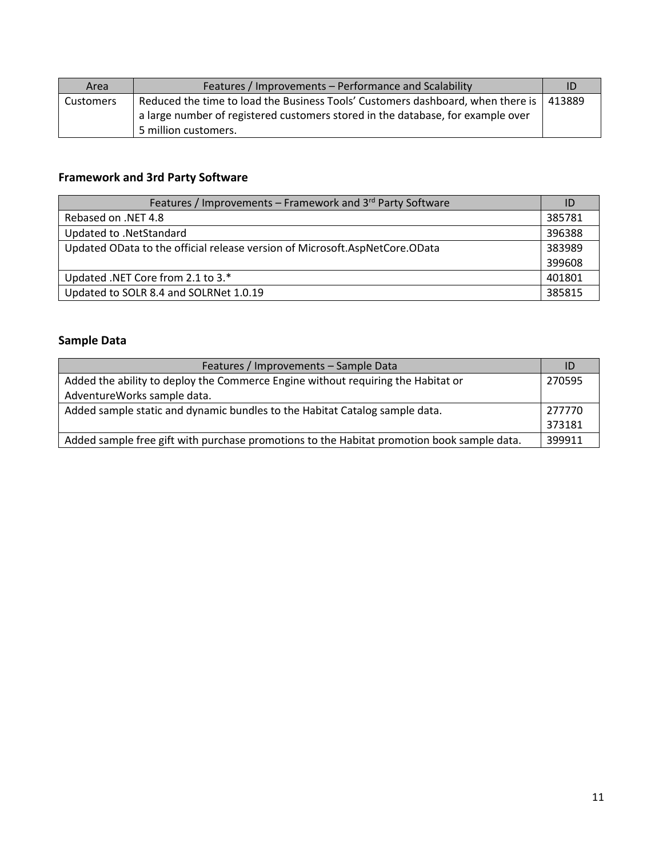| Area      | Features / Improvements - Performance and Scalability                                    | ID |
|-----------|------------------------------------------------------------------------------------------|----|
| Customers | Reduced the time to load the Business Tools' Customers dashboard, when there is   413889 |    |
|           | a large number of registered customers stored in the database, for example over          |    |
|           | 5 million customers.                                                                     |    |

## **Framework and 3rd Party Software**

| Features / Improvements – Framework and 3 <sup>rd</sup> Party Software      | ID     |
|-----------------------------------------------------------------------------|--------|
| Rebased on .NET 4.8                                                         | 385781 |
| Updated to .NetStandard                                                     | 396388 |
| Updated OData to the official release version of Microsoft.AspNetCore.OData |        |
|                                                                             | 399608 |
| Updated .NET Core from 2.1 to 3.*                                           | 401801 |
| Updated to SOLR 8.4 and SOLRNet 1.0.19                                      | 385815 |

#### **Sample Data**

| Features / Improvements - Sample Data                                                      |        |
|--------------------------------------------------------------------------------------------|--------|
| Added the ability to deploy the Commerce Engine without requiring the Habitat or           | 270595 |
| AdventureWorks sample data.                                                                |        |
| Added sample static and dynamic bundles to the Habitat Catalog sample data.                |        |
|                                                                                            | 373181 |
| Added sample free gift with purchase promotions to the Habitat promotion book sample data. | 399911 |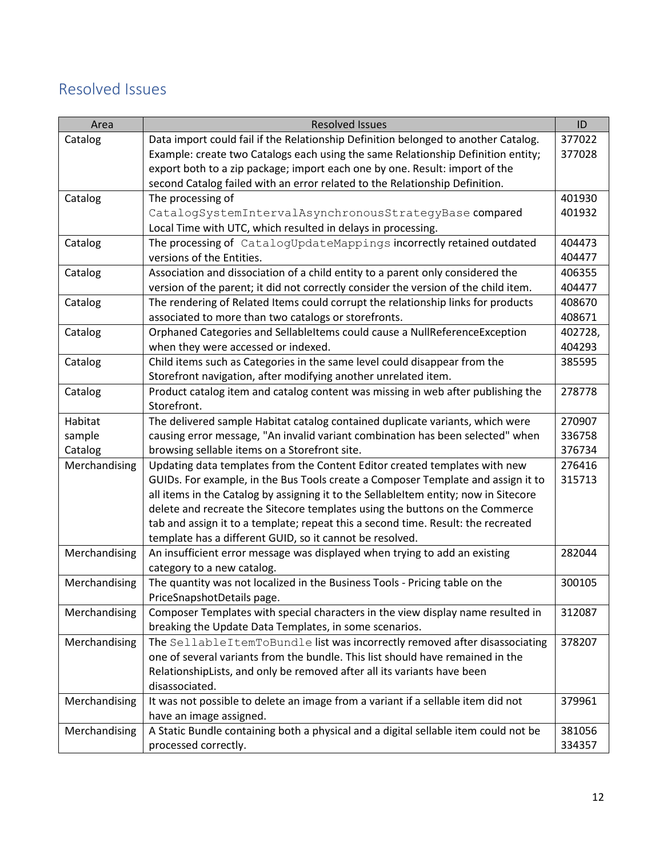# <span id="page-11-0"></span>Resolved Issues

| Area          | <b>Resolved Issues</b>                                                               | ID      |
|---------------|--------------------------------------------------------------------------------------|---------|
| Catalog       | Data import could fail if the Relationship Definition belonged to another Catalog.   | 377022  |
|               | Example: create two Catalogs each using the same Relationship Definition entity;     | 377028  |
|               | export both to a zip package; import each one by one. Result: import of the          |         |
|               | second Catalog failed with an error related to the Relationship Definition.          |         |
| Catalog       | The processing of                                                                    | 401930  |
|               | CatalogSystemIntervalAsynchronousStrategyBase compared                               | 401932  |
|               | Local Time with UTC, which resulted in delays in processing.                         |         |
| Catalog       | The processing of CatalogUpdateMappings incorrectly retained outdated                | 404473  |
|               | versions of the Entities.                                                            | 404477  |
| Catalog       | Association and dissociation of a child entity to a parent only considered the       | 406355  |
|               | version of the parent; it did not correctly consider the version of the child item.  | 404477  |
| Catalog       | The rendering of Related Items could corrupt the relationship links for products     | 408670  |
|               | associated to more than two catalogs or storefronts.                                 | 408671  |
| Catalog       | Orphaned Categories and SellableItems could cause a NullReferenceException           | 402728, |
|               | when they were accessed or indexed.                                                  | 404293  |
| Catalog       | Child items such as Categories in the same level could disappear from the            | 385595  |
|               | Storefront navigation, after modifying another unrelated item.                       |         |
| Catalog       | Product catalog item and catalog content was missing in web after publishing the     | 278778  |
|               | Storefront.                                                                          |         |
| Habitat       | The delivered sample Habitat catalog contained duplicate variants, which were        | 270907  |
| sample        | causing error message, "An invalid variant combination has been selected" when       | 336758  |
| Catalog       | browsing sellable items on a Storefront site.                                        | 376734  |
| Merchandising | Updating data templates from the Content Editor created templates with new           | 276416  |
|               | GUIDs. For example, in the Bus Tools create a Composer Template and assign it to     | 315713  |
|               | all items in the Catalog by assigning it to the SellableItem entity; now in Sitecore |         |
|               | delete and recreate the Sitecore templates using the buttons on the Commerce         |         |
|               | tab and assign it to a template; repeat this a second time. Result: the recreated    |         |
|               | template has a different GUID, so it cannot be resolved.                             |         |
| Merchandising | An insufficient error message was displayed when trying to add an existing           | 282044  |
|               | category to a new catalog.                                                           |         |
| Merchandising | The quantity was not localized in the Business Tools - Pricing table on the          | 300105  |
|               | PriceSnapshotDetails page.                                                           |         |
| Merchandising | Composer Templates with special characters in the view display name resulted in      | 312087  |
|               | breaking the Update Data Templates, in some scenarios.                               |         |
| Merchandising | The SellableItemToBundle list was incorrectly removed after disassociating           | 378207  |
|               | one of several variants from the bundle. This list should have remained in the       |         |
|               | RelationshipLists, and only be removed after all its variants have been              |         |
|               | disassociated.                                                                       |         |
| Merchandising | It was not possible to delete an image from a variant if a sellable item did not     | 379961  |
|               | have an image assigned.                                                              |         |
| Merchandising | A Static Bundle containing both a physical and a digital sellable item could not be  | 381056  |
|               | processed correctly.                                                                 | 334357  |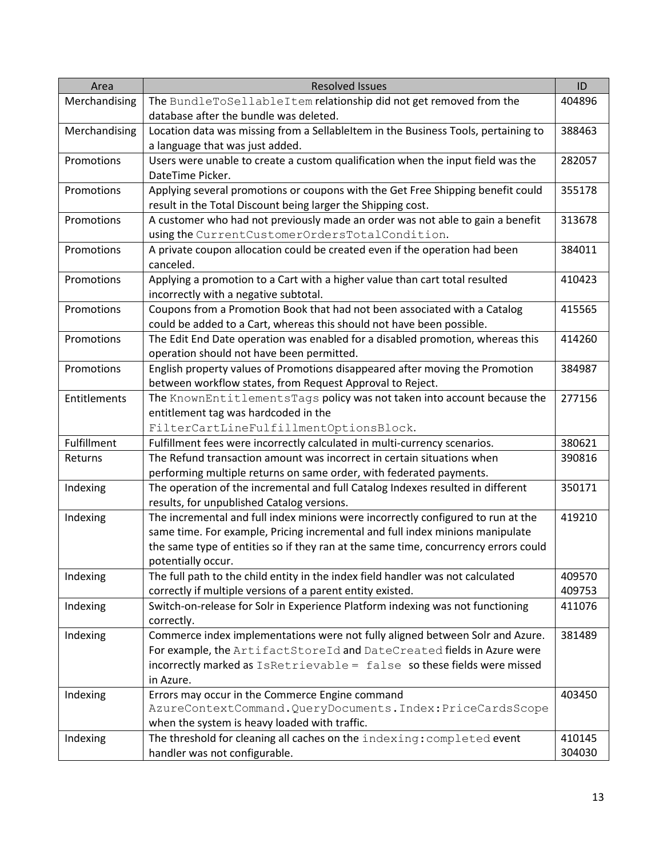| Area          | <b>Resolved Issues</b>                                                              | ID     |
|---------------|-------------------------------------------------------------------------------------|--------|
| Merchandising | The BundleToSellableItem relationship did not get removed from the                  | 404896 |
|               | database after the bundle was deleted.                                              |        |
| Merchandising | Location data was missing from a SellableItem in the Business Tools, pertaining to  | 388463 |
|               | a language that was just added.                                                     |        |
| Promotions    | Users were unable to create a custom qualification when the input field was the     | 282057 |
|               | DateTime Picker.                                                                    |        |
| Promotions    | Applying several promotions or coupons with the Get Free Shipping benefit could     | 355178 |
|               | result in the Total Discount being larger the Shipping cost.                        |        |
| Promotions    | A customer who had not previously made an order was not able to gain a benefit      | 313678 |
|               | using the CurrentCustomerOrdersTotalCondition.                                      |        |
| Promotions    | A private coupon allocation could be created even if the operation had been         | 384011 |
|               | canceled.                                                                           |        |
| Promotions    | Applying a promotion to a Cart with a higher value than cart total resulted         | 410423 |
|               | incorrectly with a negative subtotal.                                               |        |
| Promotions    | Coupons from a Promotion Book that had not been associated with a Catalog           | 415565 |
|               | could be added to a Cart, whereas this should not have been possible.               |        |
| Promotions    | The Edit End Date operation was enabled for a disabled promotion, whereas this      | 414260 |
|               | operation should not have been permitted.                                           |        |
| Promotions    | English property values of Promotions disappeared after moving the Promotion        | 384987 |
|               | between workflow states, from Request Approval to Reject.                           |        |
| Entitlements  | The KnownEntitlementsTags policy was not taken into account because the             | 277156 |
|               | entitlement tag was hardcoded in the                                                |        |
|               | FilterCartLineFulfillmentOptionsBlock.                                              |        |
| Fulfillment   | Fulfillment fees were incorrectly calculated in multi-currency scenarios.           | 380621 |
| Returns       | The Refund transaction amount was incorrect in certain situations when              | 390816 |
|               | performing multiple returns on same order, with federated payments.                 |        |
| Indexing      | The operation of the incremental and full Catalog Indexes resulted in different     | 350171 |
|               | results, for unpublished Catalog versions.                                          |        |
| Indexing      | The incremental and full index minions were incorrectly configured to run at the    | 419210 |
|               | same time. For example, Pricing incremental and full index minions manipulate       |        |
|               | the same type of entities so if they ran at the same time, concurrency errors could |        |
|               | potentially occur.                                                                  |        |
| Indexing      | The full path to the child entity in the index field handler was not calculated     | 409570 |
|               | correctly if multiple versions of a parent entity existed.                          | 409753 |
| Indexing      | Switch-on-release for Solr in Experience Platform indexing was not functioning      | 411076 |
|               | correctly.                                                                          |        |
| Indexing      | Commerce index implementations were not fully aligned between Solr and Azure.       | 381489 |
|               | For example, the ArtifactStoreId and DateCreated fields in Azure were               |        |
|               | incorrectly marked as IsRetrievable = false so these fields were missed             |        |
|               | in Azure.                                                                           |        |
| Indexing      | Errors may occur in the Commerce Engine command                                     | 403450 |
|               | AzureContextCommand.QueryDocuments.Index:PriceCardsScope                            |        |
|               | when the system is heavy loaded with traffic.                                       |        |
| Indexing      | The threshold for cleaning all caches on the indexing: completed event              | 410145 |
|               | handler was not configurable.                                                       | 304030 |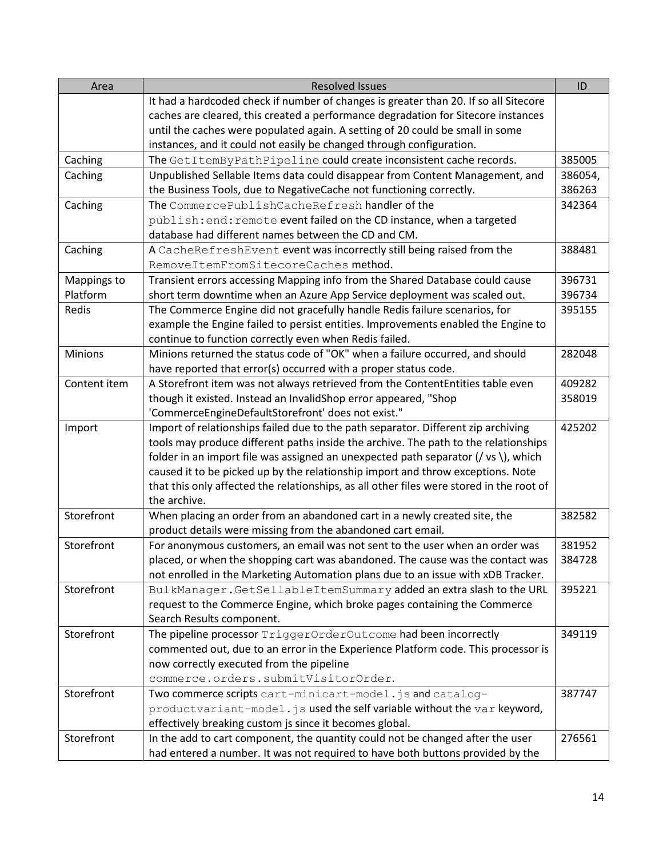| Area           | <b>Resolved Issues</b>                                                                       | ID      |
|----------------|----------------------------------------------------------------------------------------------|---------|
|                | It had a hardcoded check if number of changes is greater than 20. If so all Sitecore         |         |
|                | caches are cleared, this created a performance degradation for Sitecore instances            |         |
|                | until the caches were populated again. A setting of 20 could be small in some                |         |
|                | instances, and it could not easily be changed through configuration.                         |         |
| Caching        | The GetItemByPathPipeline could create inconsistent cache records.                           | 385005  |
| Caching        | Unpublished Sellable Items data could disappear from Content Management, and                 | 386054, |
|                | the Business Tools, due to NegativeCache not functioning correctly.                          | 386263  |
| Caching        | The CommercePublishCacheRefresh handler of the                                               | 342364  |
|                | publish: end: remote event failed on the CD instance, when a targeted                        |         |
|                | database had different names between the CD and CM.                                          |         |
| Caching        | A CacheRefreshEvent event was incorrectly still being raised from the                        | 388481  |
|                | RemoveItemFromSitecoreCaches method.                                                         |         |
| Mappings to    | Transient errors accessing Mapping info from the Shared Database could cause                 | 396731  |
| Platform       | short term downtime when an Azure App Service deployment was scaled out.                     | 396734  |
| Redis          | The Commerce Engine did not gracefully handle Redis failure scenarios, for                   | 395155  |
|                | example the Engine failed to persist entities. Improvements enabled the Engine to            |         |
|                | continue to function correctly even when Redis failed.                                       |         |
| <b>Minions</b> | Minions returned the status code of "OK" when a failure occurred, and should                 | 282048  |
|                | have reported that error(s) occurred with a proper status code.                              |         |
| Content item   | A Storefront item was not always retrieved from the ContentEntities table even               | 409282  |
|                | though it existed. Instead an InvalidShop error appeared, "Shop                              | 358019  |
|                | 'CommerceEngineDefaultStorefront' does not exist."                                           |         |
| Import         | Import of relationships failed due to the path separator. Different zip archiving            | 425202  |
|                | tools may produce different paths inside the archive. The path to the relationships          |         |
|                | folder in an import file was assigned an unexpected path separator ( $/$ vs $\iota$ ), which |         |
|                | caused it to be picked up by the relationship import and throw exceptions. Note              |         |
|                | that this only affected the relationships, as all other files were stored in the root of     |         |
|                | the archive.                                                                                 |         |
| Storefront     | When placing an order from an abandoned cart in a newly created site, the                    | 382582  |
|                | product details were missing from the abandoned cart email.                                  |         |
| Storefront     | For anonymous customers, an email was not sent to the user when an order was                 | 381952  |
|                | placed, or when the shopping cart was abandoned. The cause was the contact was               | 384728  |
|                | not enrolled in the Marketing Automation plans due to an issue with xDB Tracker.             |         |
| Storefront     | BulkManager.GetSellableItemSummary added an extra slash to the URL                           | 395221  |
|                | request to the Commerce Engine, which broke pages containing the Commerce                    |         |
|                | Search Results component.                                                                    |         |
| Storefront     | The pipeline processor TriggerOrderOutcome had been incorrectly                              | 349119  |
|                | commented out, due to an error in the Experience Platform code. This processor is            |         |
|                | now correctly executed from the pipeline                                                     |         |
|                | commerce.orders.submitVisitorOrder.                                                          |         |
| Storefront     | Two commerce scripts cart-minicart-model.js and catalog-                                     | 387747  |
|                | productvariant-model.js used the self variable without the var keyword,                      |         |
|                | effectively breaking custom js since it becomes global.                                      |         |
| Storefront     | In the add to cart component, the quantity could not be changed after the user               | 276561  |
|                | had entered a number. It was not required to have both buttons provided by the               |         |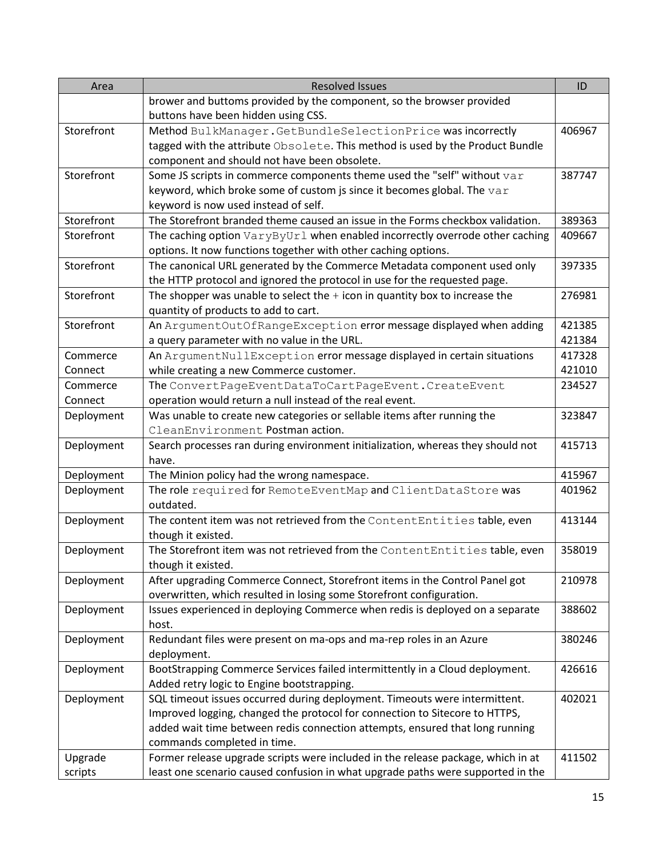| Area       | <b>Resolved Issues</b>                                                           | ID     |
|------------|----------------------------------------------------------------------------------|--------|
|            | brower and buttoms provided by the component, so the browser provided            |        |
|            | buttons have been hidden using CSS.                                              |        |
| Storefront | Method BulkManager. GetBundleSelectionPrice was incorrectly                      | 406967 |
|            | tagged with the attribute Obsolete. This method is used by the Product Bundle    |        |
|            | component and should not have been obsolete.                                     |        |
| Storefront | Some JS scripts in commerce components theme used the "self" without var         | 387747 |
|            | keyword, which broke some of custom js since it becomes global. The var          |        |
|            | keyword is now used instead of self.                                             |        |
| Storefront | The Storefront branded theme caused an issue in the Forms checkbox validation.   | 389363 |
| Storefront | The caching option VaryByUrl when enabled incorrectly overrode other caching     | 409667 |
|            | options. It now functions together with other caching options.                   |        |
| Storefront | The canonical URL generated by the Commerce Metadata component used only         | 397335 |
|            | the HTTP protocol and ignored the protocol in use for the requested page.        |        |
| Storefront | The shopper was unable to select the $+$ icon in quantity box to increase the    | 276981 |
|            | quantity of products to add to cart.                                             |        |
| Storefront | An ArgumentOutOfRangeException error message displayed when adding               | 421385 |
|            | a query parameter with no value in the URL.                                      | 421384 |
| Commerce   | An ArgumentNullException error message displayed in certain situations           | 417328 |
| Connect    | while creating a new Commerce customer.                                          | 421010 |
| Commerce   | The ConvertPageEventDataToCartPageEvent. CreateEvent                             | 234527 |
| Connect    | operation would return a null instead of the real event.                         |        |
| Deployment | Was unable to create new categories or sellable items after running the          | 323847 |
|            | CleanEnvironment Postman action.                                                 |        |
| Deployment | Search processes ran during environment initialization, whereas they should not  | 415713 |
|            | have.                                                                            |        |
| Deployment | The Minion policy had the wrong namespace.                                       | 415967 |
| Deployment | The role required for RemoteEventMap and ClientDataStore was                     | 401962 |
|            | outdated.                                                                        |        |
| Deployment | The content item was not retrieved from the ContentEntities table, even          | 413144 |
|            | though it existed.                                                               |        |
| Deployment | The Storefront item was not retrieved from the ContentEntities table, even       | 358019 |
|            | though it existed.                                                               |        |
| Deployment | After upgrading Commerce Connect, Storefront items in the Control Panel got      | 210978 |
|            | overwritten, which resulted in losing some Storefront configuration.             |        |
| Deployment | Issues experienced in deploying Commerce when redis is deployed on a separate    | 388602 |
|            | host.                                                                            |        |
| Deployment | Redundant files were present on ma-ops and ma-rep roles in an Azure              | 380246 |
|            | deployment.                                                                      |        |
| Deployment | BootStrapping Commerce Services failed intermittently in a Cloud deployment.     | 426616 |
|            | Added retry logic to Engine bootstrapping.                                       |        |
| Deployment | SQL timeout issues occurred during deployment. Timeouts were intermittent.       | 402021 |
|            | Improved logging, changed the protocol for connection to Sitecore to HTTPS,      |        |
|            | added wait time between redis connection attempts, ensured that long running     |        |
|            | commands completed in time.                                                      |        |
| Upgrade    | Former release upgrade scripts were included in the release package, which in at | 411502 |
| scripts    | least one scenario caused confusion in what upgrade paths were supported in the  |        |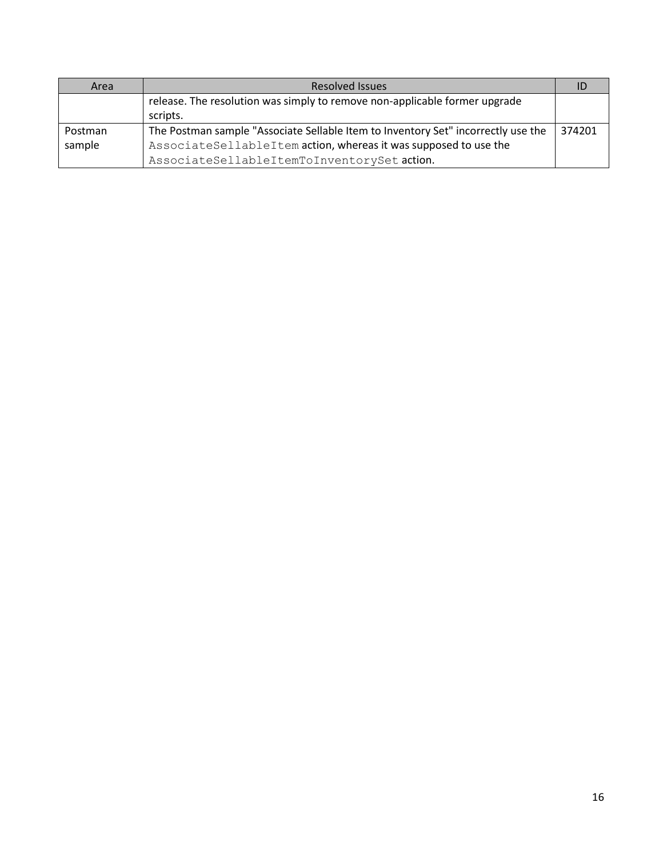| Area    | <b>Resolved Issues</b>                                                                 |        |
|---------|----------------------------------------------------------------------------------------|--------|
|         | release. The resolution was simply to remove non-applicable former upgrade<br>scripts. |        |
| Postman | The Postman sample "Associate Sellable Item to Inventory Set" incorrectly use the      | 374201 |
| sample  | AssociateSellableItem action, whereas it was supposed to use the                       |        |
|         | AssociateSellableItemToInventorySet action.                                            |        |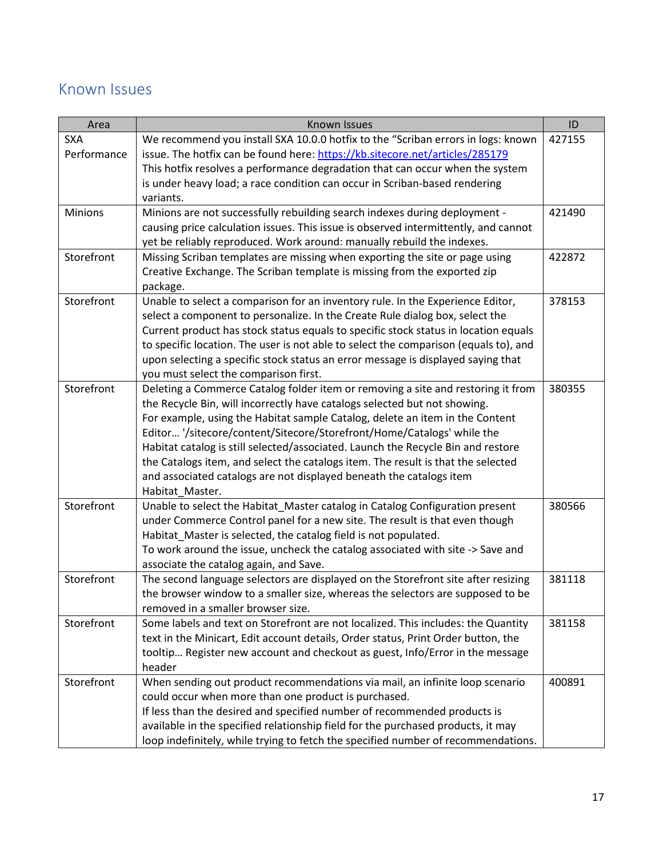# <span id="page-16-0"></span>Known Issues

| Area        | Known Issues                                                                         | ID     |
|-------------|--------------------------------------------------------------------------------------|--------|
| <b>SXA</b>  | We recommend you install SXA 10.0.0 hotfix to the "Scriban errors in logs: known     | 427155 |
| Performance | issue. The hotfix can be found here: https://kb.sitecore.net/articles/285179         |        |
|             | This hotfix resolves a performance degradation that can occur when the system        |        |
|             | is under heavy load; a race condition can occur in Scriban-based rendering           |        |
|             | variants.                                                                            |        |
| Minions     | Minions are not successfully rebuilding search indexes during deployment -           | 421490 |
|             | causing price calculation issues. This issue is observed intermittently, and cannot  |        |
|             | yet be reliably reproduced. Work around: manually rebuild the indexes.               |        |
| Storefront  | Missing Scriban templates are missing when exporting the site or page using          | 422872 |
|             | Creative Exchange. The Scriban template is missing from the exported zip             |        |
|             | package.                                                                             |        |
| Storefront  | Unable to select a comparison for an inventory rule. In the Experience Editor,       | 378153 |
|             | select a component to personalize. In the Create Rule dialog box, select the         |        |
|             | Current product has stock status equals to specific stock status in location equals  |        |
|             | to specific location. The user is not able to select the comparison (equals to), and |        |
|             | upon selecting a specific stock status an error message is displayed saying that     |        |
|             | you must select the comparison first.                                                |        |
| Storefront  | Deleting a Commerce Catalog folder item or removing a site and restoring it from     | 380355 |
|             | the Recycle Bin, will incorrectly have catalogs selected but not showing.            |        |
|             | For example, using the Habitat sample Catalog, delete an item in the Content         |        |
|             | Editor '/sitecore/content/Sitecore/Storefront/Home/Catalogs' while the               |        |
|             | Habitat catalog is still selected/associated. Launch the Recycle Bin and restore     |        |
|             | the Catalogs item, and select the catalogs item. The result is that the selected     |        |
|             | and associated catalogs are not displayed beneath the catalogs item                  |        |
|             | Habitat_Master.                                                                      |        |
| Storefront  | Unable to select the Habitat_Master catalog in Catalog Configuration present         | 380566 |
|             | under Commerce Control panel for a new site. The result is that even though          |        |
|             | Habitat_Master is selected, the catalog field is not populated.                      |        |
|             | To work around the issue, uncheck the catalog associated with site -> Save and       |        |
|             | associate the catalog again, and Save.                                               |        |
| Storefront  | The second language selectors are displayed on the Storefront site after resizing    | 381118 |
|             | the browser window to a smaller size, whereas the selectors are supposed to be       |        |
|             | removed in a smaller browser size.                                                   |        |
| Storefront  | Some labels and text on Storefront are not localized. This includes: the Quantity    | 381158 |
|             | text in the Minicart, Edit account details, Order status, Print Order button, the    |        |
|             | tooltip Register new account and checkout as guest, Info/Error in the message        |        |
|             | header                                                                               |        |
| Storefront  | When sending out product recommendations via mail, an infinite loop scenario         | 400891 |
|             | could occur when more than one product is purchased.                                 |        |
|             | If less than the desired and specified number of recommended products is             |        |
|             | available in the specified relationship field for the purchased products, it may     |        |
|             | loop indefinitely, while trying to fetch the specified number of recommendations.    |        |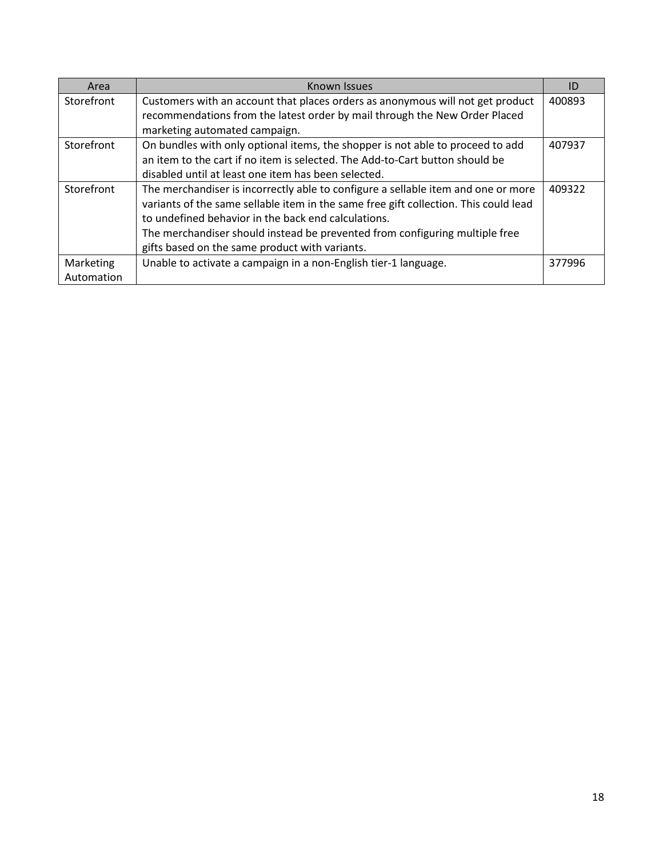| Area       | Known Issues                                                                         | ID     |
|------------|--------------------------------------------------------------------------------------|--------|
| Storefront | Customers with an account that places orders as anonymous will not get product       | 400893 |
|            | recommendations from the latest order by mail through the New Order Placed           |        |
|            | marketing automated campaign.                                                        |        |
| Storefront | On bundles with only optional items, the shopper is not able to proceed to add       | 407937 |
|            | an item to the cart if no item is selected. The Add-to-Cart button should be         |        |
|            | disabled until at least one item has been selected.                                  |        |
| Storefront | The merchandiser is incorrectly able to configure a sellable item and one or more    | 409322 |
|            | variants of the same sellable item in the same free gift collection. This could lead |        |
|            | to undefined behavior in the back end calculations.                                  |        |
|            | The merchandiser should instead be prevented from configuring multiple free          |        |
|            | gifts based on the same product with variants.                                       |        |
| Marketing  | Unable to activate a campaign in a non-English tier-1 language.                      | 377996 |
| Automation |                                                                                      |        |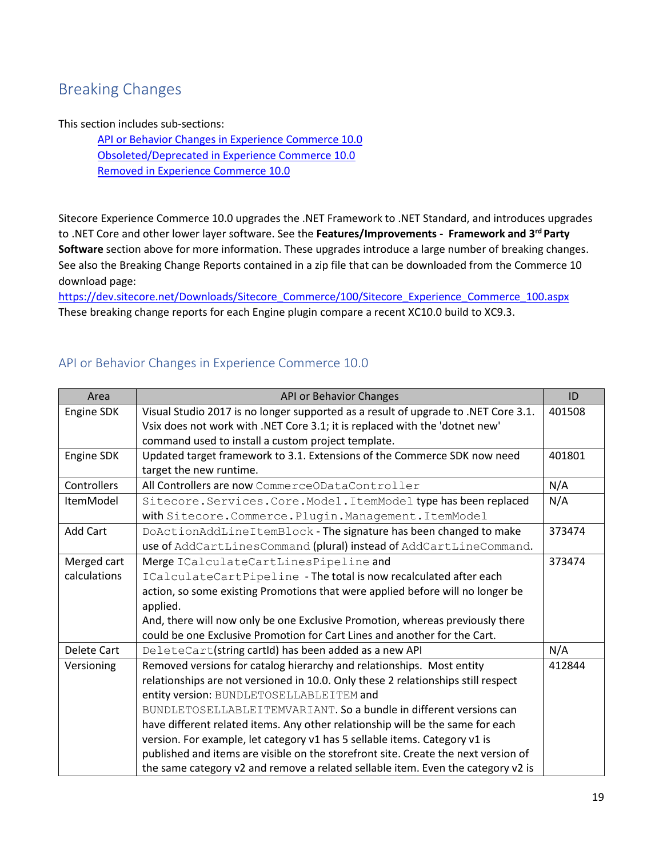# <span id="page-18-0"></span>Breaking Changes

#### This section includes sub-sections:

API or Behavior Changes [in Experience Commerce 10.0](#page-18-1) [Obsoleted/Deprecated in Experience Commerce 10.0](#page-19-0) [Removed in Experience Commerce 10.0](#page-24-0)

Sitecore Experience Commerce 10.0 upgrades the .NET Framework to .NET Standard, and introduces upgrades to .NET Core and other lower layer software. See the **Features/Improvements - Framework and 3rd Party Software** section above for more information. These upgrades introduce a large number of breaking changes. See also the Breaking Change Reports contained in a zip file that can be downloaded from the Commerce 10 download page:

[https://dev.sitecore.net/Downloads/Sitecore\\_Commerce/100/Sitecore\\_Experience\\_Commerce\\_100.aspx](https://dev.sitecore.net/Downloads/Sitecore_Commerce/100/Sitecore_Experience_Commerce_100.aspx) These breaking change reports for each Engine plugin compare a recent XC10.0 build to XC9.3.

| Area             | API or Behavior Changes                                                            | ID     |
|------------------|------------------------------------------------------------------------------------|--------|
| Engine SDK       | Visual Studio 2017 is no longer supported as a result of upgrade to .NET Core 3.1. | 401508 |
|                  | Vsix does not work with .NET Core 3.1; it is replaced with the 'dotnet new'        |        |
|                  | command used to install a custom project template.                                 |        |
| Engine SDK       | Updated target framework to 3.1. Extensions of the Commerce SDK now need           | 401801 |
|                  | target the new runtime.                                                            |        |
| Controllers      | All Controllers are now CommerceODataController                                    | N/A    |
| <b>ItemModel</b> | Sitecore. Services. Core. Model. ItemModel type has been replaced                  | N/A    |
|                  | with Sitecore. Commerce. Plugin. Management. ItemModel                             |        |
| <b>Add Cart</b>  | DoActionAddLineItemBlock - The signature has been changed to make                  | 373474 |
|                  | use of AddCartLinesCommand (plural) instead of AddCartLineCommand.                 |        |
| Merged cart      | Merge ICalculateCartLinesPipeline and                                              | 373474 |
| calculations     | ICalculateCartPipeline - The total is now recalculated after each                  |        |
|                  | action, so some existing Promotions that were applied before will no longer be     |        |
|                  | applied.                                                                           |        |
|                  | And, there will now only be one Exclusive Promotion, whereas previously there      |        |
|                  | could be one Exclusive Promotion for Cart Lines and another for the Cart.          |        |
| Delete Cart      | DeleteCart(string cartId) has been added as a new API                              | N/A    |
| Versioning       | Removed versions for catalog hierarchy and relationships. Most entity              | 412844 |
|                  | relationships are not versioned in 10.0. Only these 2 relationships still respect  |        |
|                  | entity version: BUNDLETOSELLABLEITEM and                                           |        |
|                  | BUNDLETOSELLABLEITEMVARIANT. So a bundle in different versions can                 |        |
|                  | have different related items. Any other relationship will be the same for each     |        |
|                  | version. For example, let category v1 has 5 sellable items. Category v1 is         |        |
|                  | published and items are visible on the storefront site. Create the next version of |        |
|                  | the same category v2 and remove a related sellable item. Even the category v2 is   |        |

#### <span id="page-18-1"></span>API or Behavior Changes in Experience Commerce 10.0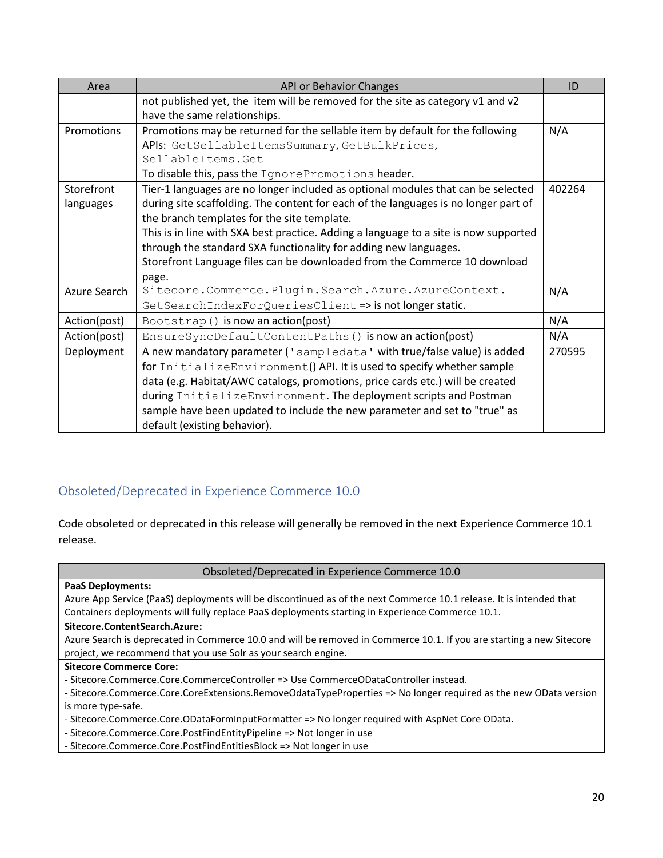| Area         | API or Behavior Changes                                                              | ID     |
|--------------|--------------------------------------------------------------------------------------|--------|
|              | not published yet, the item will be removed for the site as category v1 and v2       |        |
|              | have the same relationships.                                                         |        |
| Promotions   | Promotions may be returned for the sellable item by default for the following        | N/A    |
|              | APIs: GetSellableItemsSummary, GetBulkPrices,                                        |        |
|              | SellableItems.Get                                                                    |        |
|              | To disable this, pass the IgnorePromotions header.                                   |        |
| Storefront   | Tier-1 languages are no longer included as optional modules that can be selected     | 402264 |
| languages    | during site scaffolding. The content for each of the languages is no longer part of  |        |
|              | the branch templates for the site template.                                          |        |
|              | This is in line with SXA best practice. Adding a language to a site is now supported |        |
|              | through the standard SXA functionality for adding new languages.                     |        |
|              | Storefront Language files can be downloaded from the Commerce 10 download            |        |
|              | page.                                                                                |        |
| Azure Search | Sitecore.Commerce.Plugin.Search.Azure.AzureContext.                                  | N/A    |
|              | GetSearchIndexForQueriesClient => is not longer static.                              |        |
| Action(post) | Bootstrap() is now an action(post)                                                   | N/A    |
| Action(post) | EnsureSyncDefaultContentPaths () is now an action(post)                              | N/A    |
| Deployment   | A new mandatory parameter ('sampledata' with true/false value) is added              | 270595 |
|              | for InitializeEnvironment() API. It is used to specify whether sample                |        |
|              | data (e.g. Habitat/AWC catalogs, promotions, price cards etc.) will be created       |        |
|              | during InitializeEnvironment. The deployment scripts and Postman                     |        |
|              | sample have been updated to include the new parameter and set to "true" as           |        |
|              | default (existing behavior).                                                         |        |

# <span id="page-19-0"></span>Obsoleted/Deprecated in Experience Commerce 10.0

Code obsoleted or deprecated in this release will generally be removed in the next Experience Commerce 10.1 release.

Obsoleted/Deprecated in Experience Commerce 10.0

| <b>PaaS Deployments:</b>                                                                                             |  |
|----------------------------------------------------------------------------------------------------------------------|--|
| Azure App Service (PaaS) deployments will be discontinued as of the next Commerce 10.1 release. It is intended that  |  |
| Containers deployments will fully replace PaaS deployments starting in Experience Commerce 10.1.                     |  |
| Sitecore.ContentSearch.Azure:                                                                                        |  |
| Azure Search is deprecated in Commerce 10.0 and will be removed in Commerce 10.1. If you are starting a new Sitecore |  |
| project, we recommend that you use Solr as your search engine.                                                       |  |
|                                                                                                                      |  |
| <b>Sitecore Commerce Core:</b>                                                                                       |  |
| - Sitecore.Commerce.Core.CommerceController => Use CommerceODataController instead.                                  |  |
| - Sitecore.Commerce.Core.CoreExtensions.RemoveOdataTypeProperties => No longer required as the new OData version     |  |
| is more type-safe.                                                                                                   |  |
| - Sitecore.Commerce.Core.ODataFormInputFormatter => No longer required with AspNet Core OData.                       |  |

- Sitecore.Commerce.Core.PostFindEntitiesBlock => Not longer in use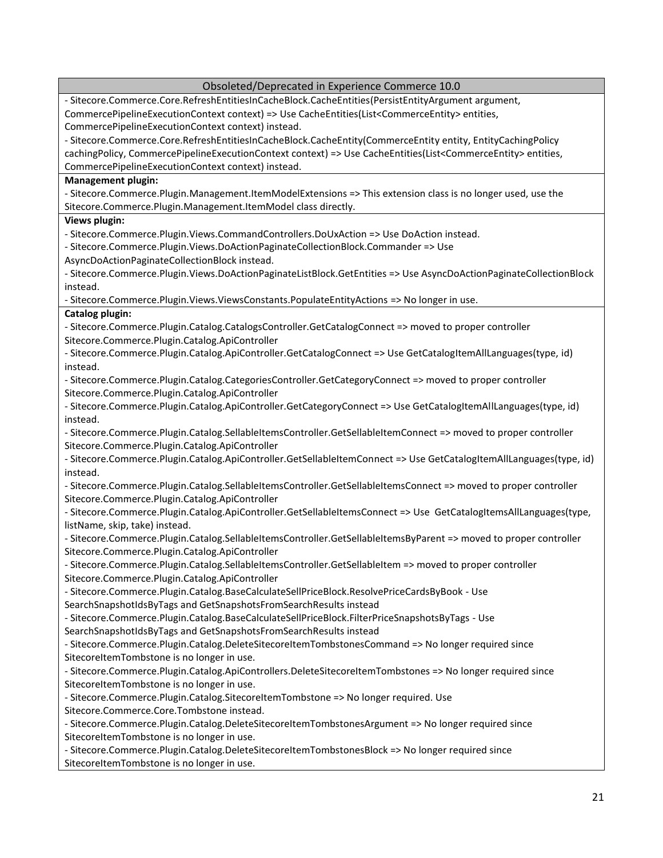| - Sitecore.Commerce.Core.RefreshEntitiesInCacheBlock.CacheEntities(PersistEntityArgument argument,                                                                |
|-------------------------------------------------------------------------------------------------------------------------------------------------------------------|
|                                                                                                                                                                   |
| CommercePipelineExecutionContext context) => Use CacheEntities(List <commerceentity> entities,</commerceentity>                                                   |
| CommercePipelineExecutionContext context) instead.                                                                                                                |
| - Sitecore.Commerce.Core.RefreshEntitiesInCacheBlock.CacheEntity(CommerceEntity entity, EntityCachingPolicy                                                       |
| cachingPolicy, CommercePipelineExecutionContext context) => Use CacheEntities(List <commerceentity> entities,</commerceentity>                                    |
| CommercePipelineExecutionContext context) instead.                                                                                                                |
| <b>Management plugin:</b>                                                                                                                                         |
| - Sitecore.Commerce.Plugin.Management.ItemModelExtensions => This extension class is no longer used, use the                                                      |
| Sitecore.Commerce.Plugin.Management.ItemModel class directly.                                                                                                     |
| Views plugin:                                                                                                                                                     |
| - Sitecore.Commerce.Plugin.Views.CommandControllers.DoUxAction => Use DoAction instead.                                                                           |
| - Sitecore.Commerce.Plugin.Views.DoActionPaginateCollectionBlock.Commander => Use                                                                                 |
| AsyncDoActionPaginateCollectionBlock instead.                                                                                                                     |
| - Sitecore.Commerce.Plugin.Views.DoActionPaginateListBlock.GetEntities => Use AsyncDoActionPaginateCollectionBlock                                                |
| instead.                                                                                                                                                          |
| - Sitecore.Commerce.Plugin.Views.ViewsConstants.PopulateEntityActions => No longer in use.                                                                        |
| Catalog plugin:                                                                                                                                                   |
| - Sitecore.Commerce.Plugin.Catalog.CatalogsController.GetCatalogConnect => moved to proper controller                                                             |
| Sitecore.Commerce.Plugin.Catalog.ApiController                                                                                                                    |
| - Sitecore.Commerce.Plugin.Catalog.ApiController.GetCatalogConnect => Use GetCatalogItemAllLanguages(type, id)                                                    |
| instead.                                                                                                                                                          |
| - Sitecore.Commerce.Plugin.Catalog.CategoriesController.GetCategoryConnect => moved to proper controller                                                          |
| Sitecore.Commerce.Plugin.Catalog.ApiController                                                                                                                    |
| - Sitecore.Commerce.Plugin.Catalog.ApiController.GetCategoryConnect => Use GetCatalogItemAllLanguages(type, id)                                                   |
| instead.                                                                                                                                                          |
| - Sitecore.Commerce.Plugin.Catalog.SellableItemsController.GetSellableItemConnect => moved to proper controller                                                   |
| Sitecore.Commerce.Plugin.Catalog.ApiController                                                                                                                    |
| - Sitecore.Commerce.Plugin.Catalog.ApiController.GetSellableItemConnect => Use GetCatalogItemAllLanguages(type, id)                                               |
| instead.                                                                                                                                                          |
| - Sitecore.Commerce.Plugin.Catalog.SellableItemsController.GetSellableItemsConnect => moved to proper controller                                                  |
| Sitecore.Commerce.Plugin.Catalog.ApiController                                                                                                                    |
| - Sitecore.Commerce.Plugin.Catalog.ApiController.GetSellableItemsConnect => Use GetCatalogItemsAllLanguages(type,                                                 |
| listName, skip, take) instead.                                                                                                                                    |
| - Sitecore.Commerce.Plugin.Catalog.SellableItemsController.GetSellableItemsByParent => moved to proper controller                                                 |
| Sitecore.Commerce.Plugin.Catalog.ApiController<br>- Sitecore.Commerce.Plugin.Catalog.SellableItemsController.GetSellableItem => moved to proper controller        |
| Sitecore.Commerce.Plugin.Catalog.ApiController                                                                                                                    |
|                                                                                                                                                                   |
| - Sitecore.Commerce.Plugin.Catalog.BaseCalculateSellPriceBlock.ResolvePriceCardsByBook - Use<br>SearchSnapshotIdsByTags and GetSnapshotsFromSearchResults instead |
| - Sitecore.Commerce.Plugin.Catalog.BaseCalculateSellPriceBlock.FilterPriceSnapshotsByTags - Use                                                                   |
| SearchSnapshotIdsByTags and GetSnapshotsFromSearchResults instead                                                                                                 |
| - Sitecore.Commerce.Plugin.Catalog.DeleteSitecoreItemTombstonesCommand => No longer required since                                                                |
| SitecoreItemTombstone is no longer in use.                                                                                                                        |
| - Sitecore.Commerce.Plugin.Catalog.ApiControllers.DeleteSitecoreItemTombstones => No longer required since                                                        |
| SitecoreItemTombstone is no longer in use.                                                                                                                        |
| - Sitecore.Commerce.Plugin.Catalog.SitecoreItemTombstone => No longer required. Use                                                                               |
| Sitecore.Commerce.Core.Tombstone instead.                                                                                                                         |
| - Sitecore.Commerce.Plugin.Catalog.DeleteSitecoreItemTombstonesArgument => No longer required since                                                               |
| SitecoreItemTombstone is no longer in use.                                                                                                                        |
| - Sitecore.Commerce.Plugin.Catalog.DeleteSitecoreItemTombstonesBlock => No longer required since                                                                  |
| SitecoreItemTombstone is no longer in use.                                                                                                                        |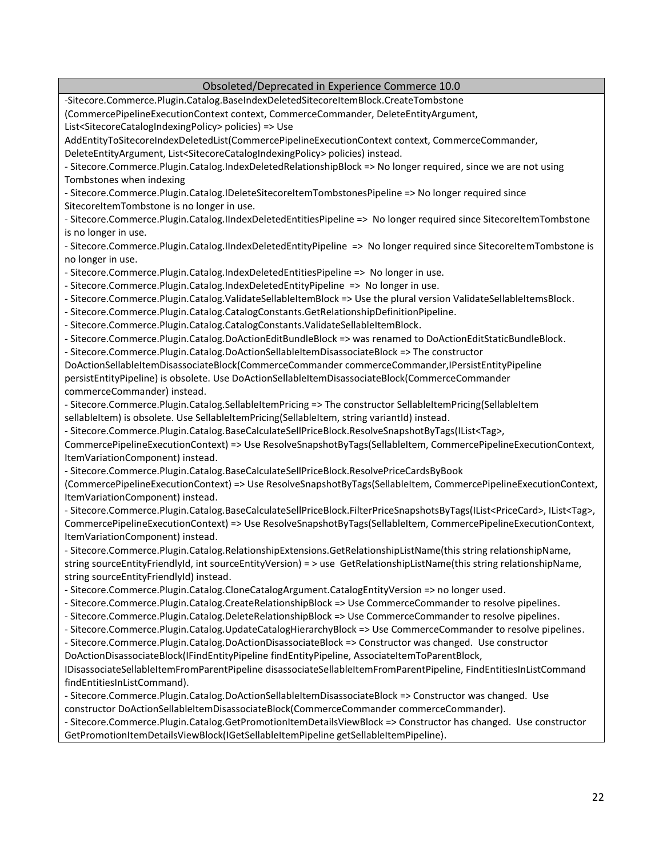Obsoleted/Deprecated in Experience Commerce 10.0 -Sitecore.Commerce.Plugin.Catalog.BaseIndexDeletedSitecoreItemBlock.CreateTombstone (CommercePipelineExecutionContext context, CommerceCommander, DeleteEntityArgument, List<SitecoreCatalogIndexingPolicy> policies) => Use AddEntityToSitecoreIndexDeletedList(CommercePipelineExecutionContext context, CommerceCommander, DeleteEntityArgument, List<SitecoreCatalogIndexingPolicy> policies) instead. - Sitecore.Commerce.Plugin.Catalog.IndexDeletedRelationshipBlock => No longer required, since we are not using Tombstones when indexing - Sitecore.Commerce.Plugin.Catalog.IDeleteSitecoreItemTombstonesPipeline => No longer required since SitecoreItemTombstone is no longer in use. - Sitecore.Commerce.Plugin.Catalog.IIndexDeletedEntitiesPipeline => No longer required since SitecoreItemTombstone is no longer in use. - Sitecore.Commerce.Plugin.Catalog.IIndexDeletedEntityPipeline => No longer required since SitecoreItemTombstone is no longer in use. - Sitecore.Commerce.Plugin.Catalog.IndexDeletedEntitiesPipeline => No longer in use. - Sitecore.Commerce.Plugin.Catalog.IndexDeletedEntityPipeline => No longer in use. - Sitecore.Commerce.Plugin.Catalog.ValidateSellableItemBlock => Use the plural version ValidateSellableItemsBlock. - Sitecore.Commerce.Plugin.Catalog.CatalogConstants.GetRelationshipDefinitionPipeline. - Sitecore.Commerce.Plugin.Catalog.CatalogConstants.ValidateSellableItemBlock. - Sitecore.Commerce.Plugin.Catalog.DoActionEditBundleBlock => was renamed to DoActionEditStaticBundleBlock. - Sitecore.Commerce.Plugin.Catalog.DoActionSellableItemDisassociateBlock => The constructor DoActionSellableItemDisassociateBlock(CommerceCommander commerceCommander,IPersistEntityPipeline persistEntityPipeline) is obsolete. Use DoActionSellableItemDisassociateBlock(CommerceCommander commerceCommander) instead. - Sitecore.Commerce.Plugin.Catalog.SellableItemPricing => The constructor SellableItemPricing(SellableItem sellableItem) is obsolete. Use SellableItemPricing(SellableItem, string variantId) instead. - Sitecore.Commerce.Plugin.Catalog.BaseCalculateSellPriceBlock.ResolveSnapshotByTags(IList<Tag>, CommercePipelineExecutionContext) => Use ResolveSnapshotByTags(SellableItem, CommercePipelineExecutionContext, ItemVariationComponent) instead. - Sitecore.Commerce.Plugin.Catalog.BaseCalculateSellPriceBlock.ResolvePriceCardsByBook (CommercePipelineExecutionContext) => Use ResolveSnapshotByTags(SellableItem, CommercePipelineExecutionContext, ItemVariationComponent) instead. - Sitecore.Commerce.Plugin.Catalog.BaseCalculateSellPriceBlock.FilterPriceSnapshotsByTags(IList<PriceCard>, IList<Tag>, CommercePipelineExecutionContext) => Use ResolveSnapshotByTags(SellableItem, CommercePipelineExecutionContext, ItemVariationComponent) instead. - Sitecore.Commerce.Plugin.Catalog.RelationshipExtensions.GetRelationshipListName(this string relationshipName, string sourceEntityFriendlyId, int sourceEntityVersion) = > use GetRelationshipListName(this string relationshipName, string sourceEntityFriendlyId) instead. - Sitecore.Commerce.Plugin.Catalog.CloneCatalogArgument.CatalogEntityVersion => no longer used. - Sitecore.Commerce.Plugin.Catalog.CreateRelationshipBlock => Use CommerceCommander to resolve pipelines. - Sitecore.Commerce.Plugin.Catalog.DeleteRelationshipBlock => Use CommerceCommander to resolve pipelines. - Sitecore.Commerce.Plugin.Catalog.UpdateCatalogHierarchyBlock => Use CommerceCommander to resolve pipelines. - Sitecore.Commerce.Plugin.Catalog.DoActionDisassociateBlock => Constructor was changed. Use constructor DoActionDisassociateBlock(IFindEntityPipeline findEntityPipeline, AssociateItemToParentBlock, IDisassociateSellableItemFromParentPipeline disassociateSellableItemFromParentPipeline, FindEntitiesInListCommand findEntitiesInListCommand). - Sitecore.Commerce.Plugin.Catalog.DoActionSellableItemDisassociateBlock => Constructor was changed. Use constructor DoActionSellableItemDisassociateBlock(CommerceCommander commerceCommander). - Sitecore.Commerce.Plugin.Catalog.GetPromotionItemDetailsViewBlock => Constructor has changed. Use constructor GetPromotionItemDetailsViewBlock(IGetSellableItemPipeline getSellableItemPipeline).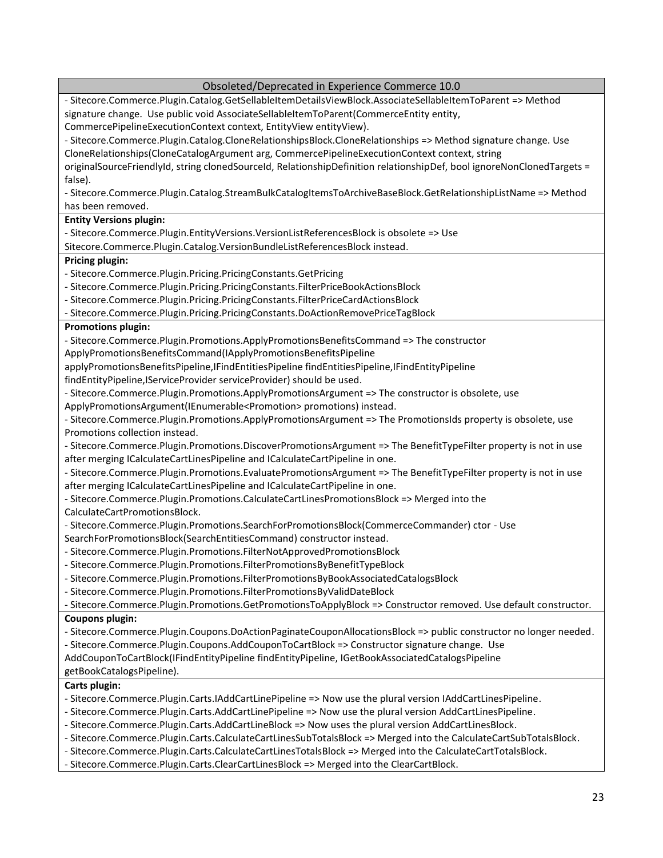| Obsoleted/Deprecated in Experience Commerce 10.0                                                                                                                |
|-----------------------------------------------------------------------------------------------------------------------------------------------------------------|
| - Sitecore.Commerce.Plugin.Catalog.GetSellableItemDetailsViewBlock.AssociateSellableItemToParent => Method                                                      |
| signature change. Use public void AssociateSellableItemToParent(CommerceEntity entity,                                                                          |
| CommercePipelineExecutionContext context, EntityView entityView).                                                                                               |
| - Sitecore.Commerce.Plugin.Catalog.CloneRelationshipsBlock.CloneRelationships => Method signature change. Use                                                   |
| CloneRelationships(CloneCatalogArgument arg, CommercePipelineExecutionContext context, string                                                                   |
| originalSourceFriendlyId, string clonedSourceId, RelationshipDefinition relationshipDef, bool ignoreNonClonedTargets =                                          |
| false).                                                                                                                                                         |
| - Sitecore.Commerce.Plugin.Catalog.StreamBulkCatalogItemsToArchiveBaseBlock.GetRelationshipListName => Method                                                   |
| has been removed.                                                                                                                                               |
| <b>Entity Versions plugin:</b>                                                                                                                                  |
| - Sitecore.Commerce.Plugin.EntityVersions.VersionListReferencesBlock is obsolete => Use                                                                         |
| Sitecore.Commerce.Plugin.Catalog.VersionBundleListReferencesBlock instead.                                                                                      |
| <b>Pricing plugin:</b>                                                                                                                                          |
| - Sitecore.Commerce.Plugin.Pricing.PricingConstants.GetPricing                                                                                                  |
| - Sitecore.Commerce.Plugin.Pricing.PricingConstants.FilterPriceBookActionsBlock                                                                                 |
| - Sitecore.Commerce.Plugin.Pricing.PricingConstants.FilterPriceCardActionsBlock                                                                                 |
| - Sitecore.Commerce.Plugin.Pricing.PricingConstants.DoActionRemovePriceTagBlock                                                                                 |
| <b>Promotions plugin:</b>                                                                                                                                       |
| - Sitecore.Commerce.Plugin.Promotions.ApplyPromotionsBenefitsCommand => The constructor                                                                         |
| ApplyPromotionsBenefitsCommand(IApplyPromotionsBenefitsPipeline                                                                                                 |
| applyPromotionsBenefitsPipeline,IFindEntitiesPipeline findEntitiesPipeline,IFindEntityPipeline                                                                  |
| findEntityPipeline,IServiceProvider serviceProvider) should be used.                                                                                            |
| - Sitecore.Commerce.Plugin.Promotions.ApplyPromotionsArgument => The constructor is obsolete, use                                                               |
| ApplyPromotionsArgument(IEnumerable <promotion> promotions) instead.</promotion>                                                                                |
| - Sitecore.Commerce.Plugin.Promotions.ApplyPromotionsArgument => The PromotionsIds property is obsolete, use                                                    |
| Promotions collection instead.                                                                                                                                  |
| - Sitecore.Commerce.Plugin.Promotions.DiscoverPromotionsArgument => The BenefitTypeFilter property is not in use                                                |
| after merging ICalculateCartLinesPipeline and ICalculateCartPipeline in one.                                                                                    |
| - Sitecore.Commerce.Plugin.Promotions.EvaluatePromotionsArgument => The BenefitTypeFilter property is not in use                                                |
| after merging ICalculateCartLinesPipeline and ICalculateCartPipeline in one.                                                                                    |
| - Sitecore.Commerce.Plugin.Promotions.CalculateCartLinesPromotionsBlock => Merged into the<br>CalculateCartPromotionsBlock.                                     |
|                                                                                                                                                                 |
| - Sitecore.Commerce.Plugin.Promotions.SearchForPromotionsBlock(CommerceCommander) ctor - Use                                                                    |
| SearchForPromotionsBlock(SearchEntitiesCommand) constructor instead.                                                                                            |
| - Sitecore.Commerce.Plugin.Promotions.FilterNotApprovedPromotionsBlock                                                                                          |
| - Sitecore.Commerce.Plugin.Promotions.FilterPromotionsByBenefitTypeBlock<br>- Sitecore.Commerce.Plugin.Promotions.FilterPromotionsByBookAssociatedCatalogsBlock |
| - Sitecore.Commerce.Plugin.Promotions.FilterPromotionsByValidDateBlock                                                                                          |
| - Sitecore.Commerce.Plugin.Promotions.GetPromotionsToApplyBlock => Constructor removed. Use default constructor.                                                |
| <b>Coupons plugin:</b>                                                                                                                                          |
| - Sitecore.Commerce.Plugin.Coupons.DoActionPaginateCouponAllocationsBlock => public constructor no longer needed.                                               |
| - Sitecore.Commerce.Plugin.Coupons.AddCouponToCartBlock => Constructor signature change. Use                                                                    |
| AddCouponToCartBlock(IFindEntityPipeline findEntityPipeline, IGetBookAssociatedCatalogsPipeline                                                                 |
| getBookCatalogsPipeline).                                                                                                                                       |
| Carts plugin:                                                                                                                                                   |
| - Sitecore.Commerce.Plugin.Carts.IAddCartLinePipeline => Now use the plural version IAddCartLinesPipeline.                                                      |
| - Sitecore.Commerce.Plugin.Carts.AddCartLinePipeline => Now use the plural version AddCartLinesPipeline.                                                        |
| - Sitecore.Commerce.Plugin.Carts.AddCartLineBlock => Now uses the plural version AddCartLinesBlock.                                                             |
| - Sitecore.Commerce.Plugin.Carts.CalculateCartLinesSubTotalsBlock => Merged into the CalculateCartSubTotalsBlock.                                               |
| - Sitecore.Commerce.Plugin.Carts.CalculateCartLinesTotalsBlock => Merged into the CalculateCartTotalsBlock.                                                     |
| - Sitecore.Commerce.Plugin.Carts.ClearCartLinesBlock => Merged into the ClearCartBlock.                                                                         |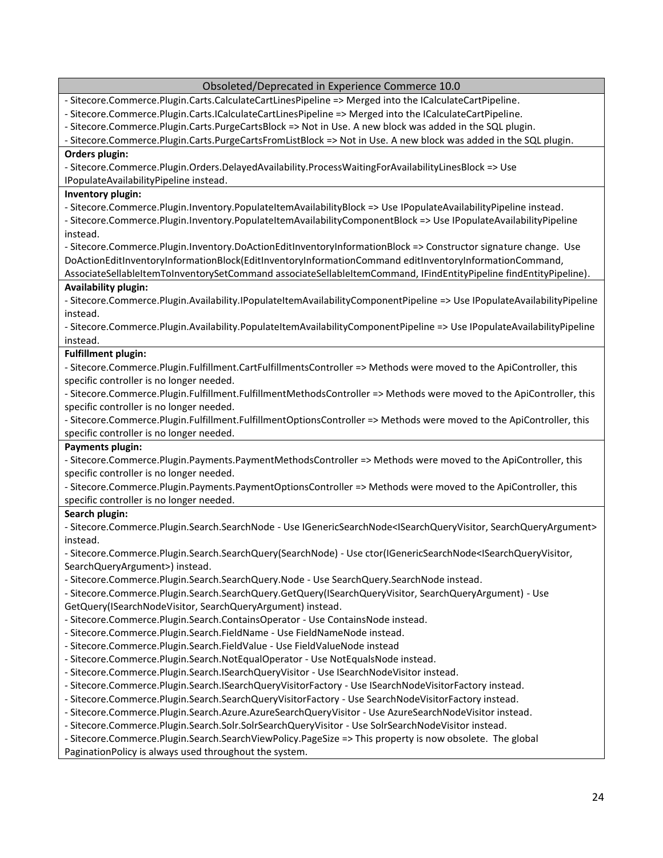| Obsoleted/Deprecated in Experience Commerce 10.0                                                                                                                                                             |
|--------------------------------------------------------------------------------------------------------------------------------------------------------------------------------------------------------------|
| - Sitecore.Commerce.Plugin.Carts.CalculateCartLinesPipeline => Merged into the ICalculateCartPipeline.                                                                                                       |
| - Sitecore.Commerce.Plugin.Carts.ICalculateCartLinesPipeline => Merged into the ICalculateCartPipeline.                                                                                                      |
| - Sitecore.Commerce.Plugin.Carts.PurgeCartsBlock => Not in Use. A new block was added in the SQL plugin.                                                                                                     |
| - Sitecore.Commerce.Plugin.Carts.PurgeCartsFromListBlock => Not in Use. A new block was added in the SQL plugin.                                                                                             |
| Orders plugin:                                                                                                                                                                                               |
| - Sitecore.Commerce.Plugin.Orders.DelayedAvailability.ProcessWaitingForAvailabilityLinesBlock => Use                                                                                                         |
| IPopulateAvailabilityPipeline instead.                                                                                                                                                                       |
| Inventory plugin:                                                                                                                                                                                            |
| - Sitecore.Commerce.Plugin.Inventory.PopulateItemAvailabilityBlock => Use IPopulateAvailabilityPipeline instead.                                                                                             |
| - Sitecore.Commerce.Plugin.Inventory.PopulateItemAvailabilityComponentBlock => Use IPopulateAvailabilityPipeline                                                                                             |
| instead.                                                                                                                                                                                                     |
| - Sitecore.Commerce.Plugin.Inventory.DoActionEditInventoryInformationBlock => Constructor signature change. Use                                                                                              |
| DoActionEditInventoryInformationBlock(EditInventoryInformationCommand editInventoryInformationCommand,                                                                                                       |
| AssociateSellableItemToInventorySetCommand associateSellableItemCommand, IFindEntityPipeline findEntityPipeline).                                                                                            |
| <b>Availability plugin:</b>                                                                                                                                                                                  |
| - Sitecore.Commerce.Plugin.Availability.IPopulateItemAvailabilityComponentPipeline => Use IPopulateAvailabilityPipeline                                                                                      |
| instead.                                                                                                                                                                                                     |
| - Sitecore.Commerce.Plugin.Availability.PopulateItemAvailabilityComponentPipeline => Use IPopulateAvailabilityPipeline                                                                                       |
| instead.                                                                                                                                                                                                     |
| <b>Fulfillment plugin:</b>                                                                                                                                                                                   |
| - Sitecore.Commerce.Plugin.Fulfillment.CartFulfillmentsController => Methods were moved to the ApiController, this                                                                                           |
| specific controller is no longer needed.                                                                                                                                                                     |
| - Sitecore.Commerce.Plugin.Fulfillment.FulfillmentMethodsController => Methods were moved to the ApiController, this                                                                                         |
| specific controller is no longer needed.                                                                                                                                                                     |
| - Sitecore.Commerce.Plugin.Fulfillment.FulfillmentOptionsController => Methods were moved to the ApiController, this                                                                                         |
| specific controller is no longer needed.                                                                                                                                                                     |
| Payments plugin:                                                                                                                                                                                             |
| - Sitecore.Commerce.Plugin.Payments.PaymentMethodsController => Methods were moved to the ApiController, this                                                                                                |
| specific controller is no longer needed.                                                                                                                                                                     |
| - Sitecore.Commerce.Plugin.Payments.PaymentOptionsController => Methods were moved to the ApiController, this                                                                                                |
| specific controller is no longer needed.                                                                                                                                                                     |
| Search plugin:                                                                                                                                                                                               |
| - Sitecore.Commerce.Plugin.Search.SearchNode - Use IGenericSearchNode <isearchqueryvisitor, searchqueryargument=""></isearchqueryvisitor,>                                                                   |
| instead.<br>- Sitecore.Commerce.Plugin.Search.SearchQuery(SearchNode) - Use ctor(IGenericSearchNode <isearchqueryvisitor,< td=""></isearchqueryvisitor,<>                                                    |
|                                                                                                                                                                                                              |
| SearchQueryArgument>) instead.<br>- Sitecore.Commerce.Plugin.Search.SearchQuery.Node - Use SearchQuery.SearchNode instead.                                                                                   |
| - Sitecore.Commerce.Plugin.Search.SearchQuery.GetQuery(ISearchQueryVisitor, SearchQueryArgument) - Use                                                                                                       |
| GetQuery(ISearchNodeVisitor, SearchQueryArgument) instead.                                                                                                                                                   |
|                                                                                                                                                                                                              |
| - Sitecore.Commerce.Plugin.Search.ContainsOperator - Use ContainsNode instead.<br>- Sitecore.Commerce.Plugin.Search.FieldName - Use FieldNameNode instead.                                                   |
| - Sitecore.Commerce.Plugin.Search.FieldValue - Use FieldValueNode instead                                                                                                                                    |
| - Sitecore.Commerce.Plugin.Search.NotEqualOperator - Use NotEqualsNode instead.                                                                                                                              |
| - Sitecore.Commerce.Plugin.Search.ISearchQueryVisitor - Use ISearchNodeVisitor instead.                                                                                                                      |
|                                                                                                                                                                                                              |
| - Sitecore.Commerce.Plugin.Search.ISearchQueryVisitorFactory - Use ISearchNodeVisitorFactory instead.<br>- Sitecore.Commerce.Plugin.Search.SearchQueryVisitorFactory - Use SearchNodeVisitorFactory instead. |
| - Sitecore.Commerce.Plugin.Search.Azure.AzureSearchQueryVisitor - Use AzureSearchNodeVisitor instead.                                                                                                        |
| - Sitecore.Commerce.Plugin.Search.Solr.SolrSearchQueryVisitor - Use SolrSearchNodeVisitor instead.                                                                                                           |
| - Sitecore.Commerce.Plugin.Search.SearchViewPolicy.PageSize => This property is now obsolete. The global                                                                                                     |
| PaginationPolicy is always used throughout the system.                                                                                                                                                       |
|                                                                                                                                                                                                              |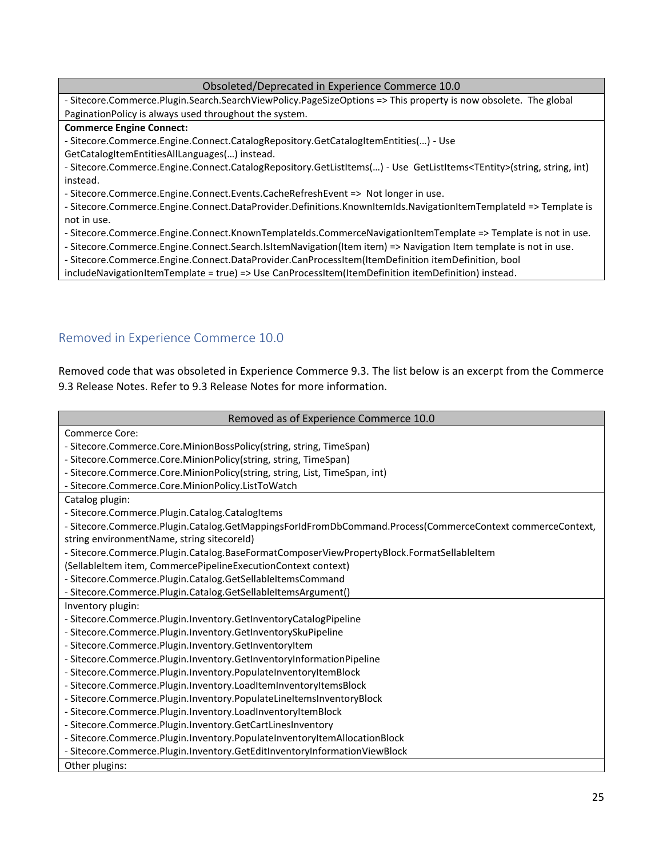#### Obsoleted/Deprecated in Experience Commerce 10.0

- Sitecore.Commerce.Plugin.Search.SearchViewPolicy.PageSizeOptions => This property is now obsolete. The global PaginationPolicy is always used throughout the system.

#### **Commerce Engine Connect:**

- Sitecore.Commerce.Engine.Connect.CatalogRepository.GetCatalogItemEntities(…) - Use

GetCatalogItemEntitiesAllLanguages(…) instead.

- Sitecore.Commerce.Engine.Connect.CatalogRepository.GetListItems(…) - Use GetListItems<TEntity>(string, string, int) instead.

- Sitecore.Commerce.Engine.Connect.Events.CacheRefreshEvent => Not longer in use.

- Sitecore.Commerce.Engine.Connect.DataProvider.Definitions.KnownItemIds.NavigationItemTemplateId => Template is not in use.

- Sitecore.Commerce.Engine.Connect.KnownTemplateIds.CommerceNavigationItemTemplate => Template is not in use.

- Sitecore.Commerce.Engine.Connect.Search.IsItemNavigation(Item item) => Navigation Item template is not in use.

- Sitecore.Commerce.Engine.Connect.DataProvider.CanProcessItem(ItemDefinition itemDefinition, bool

includeNavigationItemTemplate = true) => Use CanProcessItem(ItemDefinition itemDefinition) instead.

#### <span id="page-24-0"></span>Removed in Experience Commerce 10.0

Removed code that was obsoleted in Experience Commerce 9.3. The list below is an excerpt from the Commerce 9.3 Release Notes. Refer to 9.3 Release Notes for more information.

| Removed as of Experience Commerce 10.0                                                                    |
|-----------------------------------------------------------------------------------------------------------|
| Commerce Core:                                                                                            |
| - Sitecore.Commerce.Core.MinionBossPolicy(string, string, TimeSpan)                                       |
| - Sitecore.Commerce.Core.MinionPolicy(string, string, TimeSpan)                                           |
| - Sitecore.Commerce.Core.MinionPolicy(string, string, List, TimeSpan, int)                                |
| - Sitecore.Commerce.Core.MinionPolicy.ListToWatch                                                         |
| Catalog plugin:                                                                                           |
| - Sitecore.Commerce.Plugin.Catalog.CatalogItems                                                           |
| - Sitecore.Commerce.Plugin.Catalog.GetMappingsForIdFromDbCommand.Process(CommerceContext commerceContext, |
| string environmentName, string sitecoreld)                                                                |
| - Sitecore.Commerce.Plugin.Catalog.BaseFormatComposerViewPropertyBlock.FormatSellableItem                 |
| (SellableItem item, CommercePipelineExecutionContext context)                                             |
| - Sitecore.Commerce.Plugin.Catalog.GetSellableItemsCommand                                                |
| - Sitecore.Commerce.Plugin.Catalog.GetSellableItemsArgument()                                             |
| Inventory plugin:                                                                                         |
| - Sitecore.Commerce.Plugin.Inventory.GetInventoryCatalogPipeline                                          |
| - Sitecore.Commerce.Plugin.Inventory.GetInventorySkuPipeline                                              |
| - Sitecore.Commerce.Plugin.Inventory.GetInventoryItem                                                     |
| - Sitecore.Commerce.Plugin.Inventory.GetInventoryInformationPipeline                                      |
| - Sitecore.Commerce.Plugin.Inventory.PopulateInventoryItemBlock                                           |
| - Sitecore.Commerce.Plugin.Inventory.LoadItemInventoryItemsBlock                                          |
| - Sitecore.Commerce.Plugin.Inventory.PopulateLineItemsInventoryBlock                                      |
| - Sitecore.Commerce.Plugin.Inventory.LoadInventoryItemBlock                                               |
| - Sitecore.Commerce.Plugin.Inventory.GetCartLinesInventory                                                |
| - Sitecore.Commerce.Plugin.Inventory.PopulateInventoryItemAllocationBlock                                 |
| - Sitecore.Commerce.Plugin.Inventory.GetEditInventoryInformationViewBlock                                 |
| Other plugins:                                                                                            |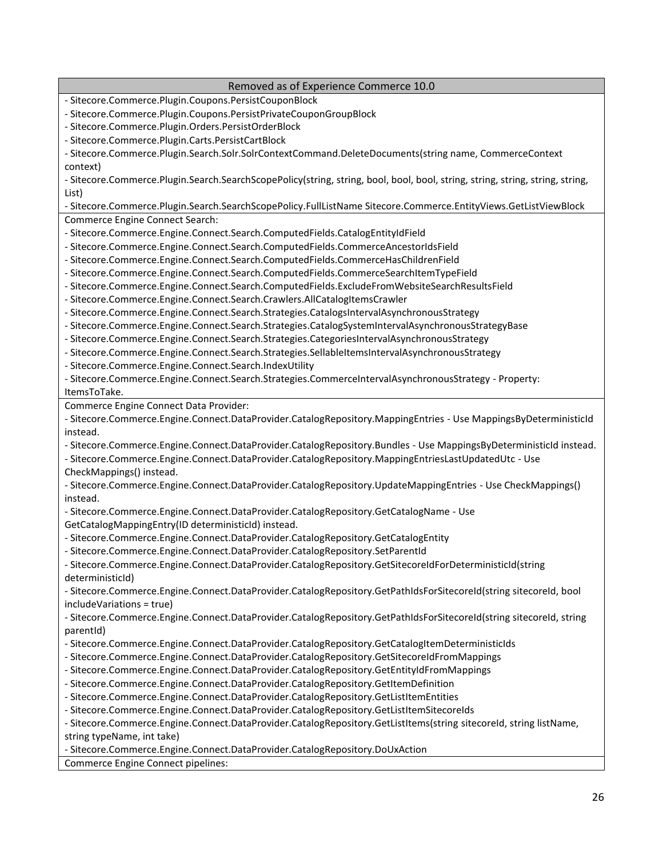| - Sitecore.Commerce.Plugin.Coupons.PersistCouponBlock<br>- Sitecore.Commerce.Plugin.Coupons.PersistPrivateCouponGroupBlock<br>- Sitecore.Commerce.Plugin.Orders.PersistOrderBlock<br>- Sitecore.Commerce.Plugin.Carts.PersistCartBlock<br>- Sitecore.Commerce.Plugin.Search.Solr.SolrContextCommand.DeleteDocuments(string name, CommerceContext<br>context)<br>- Sitecore.Commerce.Plugin.Search.SearchScopePolicy(string, string, bool, bool, bool, string, string, string, string, string, string,<br>List)<br>- Sitecore.Commerce.Plugin.Search.SearchScopePolicy.FullListName Sitecore.Commerce.EntityViews.GetListViewBlock<br>Commerce Engine Connect Search:<br>- Sitecore.Commerce.Engine.Connect.Search.ComputedFields.CatalogEntityIdField<br>- Sitecore.Commerce.Engine.Connect.Search.ComputedFields.CommerceAncestorIdsField<br>- Sitecore.Commerce.Engine.Connect.Search.ComputedFields.CommerceHasChildrenField<br>- Sitecore.Commerce.Engine.Connect.Search.ComputedFields.CommerceSearchItemTypeField<br>- Sitecore.Commerce.Engine.Connect.Search.ComputedFields.ExcludeFromWebsiteSearchResultsField<br>- Sitecore.Commerce.Engine.Connect.Search.Crawlers.AllCatalogItemsCrawler<br>- Sitecore.Commerce.Engine.Connect.Search.Strategies.CatalogsIntervalAsynchronousStrategy<br>- Sitecore.Commerce.Engine.Connect.Search.Strategies.CatalogSystemIntervalAsynchronousStrategyBase<br>- Sitecore.Commerce.Engine.Connect.Search.Strategies.CategoriesIntervalAsynchronousStrategy<br>- Sitecore.Commerce.Engine.Connect.Search.Strategies.SellableItemsIntervalAsynchronousStrategy<br>- Sitecore.Commerce.Engine.Connect.Search.IndexUtility<br>- Sitecore.Commerce.Engine.Connect.Search.Strategies.CommerceIntervalAsynchronousStrategy - Property:<br>ItemsToTake.<br>Commerce Engine Connect Data Provider:<br>- Sitecore.Commerce.Engine.Connect.DataProvider.CatalogRepository.MappingEntries - Use MappingsByDeterministicId<br>instead.<br>- Sitecore.Commerce.Engine.Connect.DataProvider.CatalogRepository.Bundles - Use MappingsByDeterministicId instead.<br>- Sitecore.Commerce.Engine.Connect.DataProvider.CatalogRepository.MappingEntriesLastUpdatedUtc - Use<br>CheckMappings() instead.<br>- Sitecore.Commerce.Engine.Connect.DataProvider.CatalogRepository.UpdateMappingEntries - Use CheckMappings()<br>instead.<br>- Sitecore.Commerce.Engine.Connect.DataProvider.CatalogRepository.GetCatalogName - Use<br>GetCatalogMappingEntry(ID deterministicId) instead.<br>- Sitecore.Commerce.Engine.Connect.DataProvider.CatalogRepository.GetCatalogEntity<br>- Sitecore.Commerce.Engine.Connect.DataProvider.CatalogRepository.SetParentId<br>- Sitecore.Commerce.Engine.Connect.DataProvider.CatalogRepository.GetSitecoreIdForDeterministicId(string<br>deterministicid)<br>- Sitecore.Commerce.Engine.Connect.DataProvider.CatalogRepository.GetPathIdsForSitecoreId(string sitecoreId, bool<br>includeVariations = true)<br>- Sitecore.Commerce.Engine.Connect.DataProvider.CatalogRepository.GetPathIdsForSitecoreId(string sitecoreId, string<br>parentid)<br>- Sitecore.Commerce.Engine.Connect.DataProvider.CatalogRepository.GetCatalogItemDeterministicIds<br>- Sitecore.Commerce.Engine.Connect.DataProvider.CatalogRepository.GetSitecoreIdFromMappings<br>- Sitecore.Commerce.Engine.Connect.DataProvider.CatalogRepository.GetEntityIdFromMappings<br>- Sitecore.Commerce.Engine.Connect.DataProvider.CatalogRepository.GetItemDefinition<br>- Sitecore.Commerce.Engine.Connect.DataProvider.CatalogRepository.GetListItemEntities<br>- Sitecore.Commerce.Engine.Connect.DataProvider.CatalogRepository.GetListItemSitecoreIds<br>- Sitecore.Commerce.Engine.Connect.DataProvider.CatalogRepository.GetListItems(string sitecoreId, string listName,<br>string typeName, int take)<br>- Sitecore.Commerce.Engine.Connect.DataProvider.CatalogRepository.DoUxAction<br>Commerce Engine Connect pipelines: | Removed as of Experience Commerce 10.0 |
|------------------------------------------------------------------------------------------------------------------------------------------------------------------------------------------------------------------------------------------------------------------------------------------------------------------------------------------------------------------------------------------------------------------------------------------------------------------------------------------------------------------------------------------------------------------------------------------------------------------------------------------------------------------------------------------------------------------------------------------------------------------------------------------------------------------------------------------------------------------------------------------------------------------------------------------------------------------------------------------------------------------------------------------------------------------------------------------------------------------------------------------------------------------------------------------------------------------------------------------------------------------------------------------------------------------------------------------------------------------------------------------------------------------------------------------------------------------------------------------------------------------------------------------------------------------------------------------------------------------------------------------------------------------------------------------------------------------------------------------------------------------------------------------------------------------------------------------------------------------------------------------------------------------------------------------------------------------------------------------------------------------------------------------------------------------------------------------------------------------------------------------------------------------------------------------------------------------------------------------------------------------------------------------------------------------------------------------------------------------------------------------------------------------------------------------------------------------------------------------------------------------------------------------------------------------------------------------------------------------------------------------------------------------------------------------------------------------------------------------------------------------------------------------------------------------------------------------------------------------------------------------------------------------------------------------------------------------------------------------------------------------------------------------------------------------------------------------------------------------------------------------------------------------------------------------------------------------------------------------------------------------------------------------------------------------------------------------------------------------------------------------------------------------------------------------------------------------------------------------------------------------------------------------------------------------------------------------------------------------------------------------------------------------------------------------------------------------------------------------------------------------------------------------------------------------------------------------------------------------------------------------------------------------------------------------------------------------|----------------------------------------|
|                                                                                                                                                                                                                                                                                                                                                                                                                                                                                                                                                                                                                                                                                                                                                                                                                                                                                                                                                                                                                                                                                                                                                                                                                                                                                                                                                                                                                                                                                                                                                                                                                                                                                                                                                                                                                                                                                                                                                                                                                                                                                                                                                                                                                                                                                                                                                                                                                                                                                                                                                                                                                                                                                                                                                                                                                                                                                                                                                                                                                                                                                                                                                                                                                                                                                                                                                                                                                                                                                                                                                                                                                                                                                                                                                                                                                                                                                                                                                                  |                                        |
|                                                                                                                                                                                                                                                                                                                                                                                                                                                                                                                                                                                                                                                                                                                                                                                                                                                                                                                                                                                                                                                                                                                                                                                                                                                                                                                                                                                                                                                                                                                                                                                                                                                                                                                                                                                                                                                                                                                                                                                                                                                                                                                                                                                                                                                                                                                                                                                                                                                                                                                                                                                                                                                                                                                                                                                                                                                                                                                                                                                                                                                                                                                                                                                                                                                                                                                                                                                                                                                                                                                                                                                                                                                                                                                                                                                                                                                                                                                                                                  |                                        |
|                                                                                                                                                                                                                                                                                                                                                                                                                                                                                                                                                                                                                                                                                                                                                                                                                                                                                                                                                                                                                                                                                                                                                                                                                                                                                                                                                                                                                                                                                                                                                                                                                                                                                                                                                                                                                                                                                                                                                                                                                                                                                                                                                                                                                                                                                                                                                                                                                                                                                                                                                                                                                                                                                                                                                                                                                                                                                                                                                                                                                                                                                                                                                                                                                                                                                                                                                                                                                                                                                                                                                                                                                                                                                                                                                                                                                                                                                                                                                                  |                                        |
|                                                                                                                                                                                                                                                                                                                                                                                                                                                                                                                                                                                                                                                                                                                                                                                                                                                                                                                                                                                                                                                                                                                                                                                                                                                                                                                                                                                                                                                                                                                                                                                                                                                                                                                                                                                                                                                                                                                                                                                                                                                                                                                                                                                                                                                                                                                                                                                                                                                                                                                                                                                                                                                                                                                                                                                                                                                                                                                                                                                                                                                                                                                                                                                                                                                                                                                                                                                                                                                                                                                                                                                                                                                                                                                                                                                                                                                                                                                                                                  |                                        |
|                                                                                                                                                                                                                                                                                                                                                                                                                                                                                                                                                                                                                                                                                                                                                                                                                                                                                                                                                                                                                                                                                                                                                                                                                                                                                                                                                                                                                                                                                                                                                                                                                                                                                                                                                                                                                                                                                                                                                                                                                                                                                                                                                                                                                                                                                                                                                                                                                                                                                                                                                                                                                                                                                                                                                                                                                                                                                                                                                                                                                                                                                                                                                                                                                                                                                                                                                                                                                                                                                                                                                                                                                                                                                                                                                                                                                                                                                                                                                                  |                                        |
|                                                                                                                                                                                                                                                                                                                                                                                                                                                                                                                                                                                                                                                                                                                                                                                                                                                                                                                                                                                                                                                                                                                                                                                                                                                                                                                                                                                                                                                                                                                                                                                                                                                                                                                                                                                                                                                                                                                                                                                                                                                                                                                                                                                                                                                                                                                                                                                                                                                                                                                                                                                                                                                                                                                                                                                                                                                                                                                                                                                                                                                                                                                                                                                                                                                                                                                                                                                                                                                                                                                                                                                                                                                                                                                                                                                                                                                                                                                                                                  |                                        |
|                                                                                                                                                                                                                                                                                                                                                                                                                                                                                                                                                                                                                                                                                                                                                                                                                                                                                                                                                                                                                                                                                                                                                                                                                                                                                                                                                                                                                                                                                                                                                                                                                                                                                                                                                                                                                                                                                                                                                                                                                                                                                                                                                                                                                                                                                                                                                                                                                                                                                                                                                                                                                                                                                                                                                                                                                                                                                                                                                                                                                                                                                                                                                                                                                                                                                                                                                                                                                                                                                                                                                                                                                                                                                                                                                                                                                                                                                                                                                                  |                                        |
|                                                                                                                                                                                                                                                                                                                                                                                                                                                                                                                                                                                                                                                                                                                                                                                                                                                                                                                                                                                                                                                                                                                                                                                                                                                                                                                                                                                                                                                                                                                                                                                                                                                                                                                                                                                                                                                                                                                                                                                                                                                                                                                                                                                                                                                                                                                                                                                                                                                                                                                                                                                                                                                                                                                                                                                                                                                                                                                                                                                                                                                                                                                                                                                                                                                                                                                                                                                                                                                                                                                                                                                                                                                                                                                                                                                                                                                                                                                                                                  |                                        |
|                                                                                                                                                                                                                                                                                                                                                                                                                                                                                                                                                                                                                                                                                                                                                                                                                                                                                                                                                                                                                                                                                                                                                                                                                                                                                                                                                                                                                                                                                                                                                                                                                                                                                                                                                                                                                                                                                                                                                                                                                                                                                                                                                                                                                                                                                                                                                                                                                                                                                                                                                                                                                                                                                                                                                                                                                                                                                                                                                                                                                                                                                                                                                                                                                                                                                                                                                                                                                                                                                                                                                                                                                                                                                                                                                                                                                                                                                                                                                                  |                                        |
|                                                                                                                                                                                                                                                                                                                                                                                                                                                                                                                                                                                                                                                                                                                                                                                                                                                                                                                                                                                                                                                                                                                                                                                                                                                                                                                                                                                                                                                                                                                                                                                                                                                                                                                                                                                                                                                                                                                                                                                                                                                                                                                                                                                                                                                                                                                                                                                                                                                                                                                                                                                                                                                                                                                                                                                                                                                                                                                                                                                                                                                                                                                                                                                                                                                                                                                                                                                                                                                                                                                                                                                                                                                                                                                                                                                                                                                                                                                                                                  |                                        |
|                                                                                                                                                                                                                                                                                                                                                                                                                                                                                                                                                                                                                                                                                                                                                                                                                                                                                                                                                                                                                                                                                                                                                                                                                                                                                                                                                                                                                                                                                                                                                                                                                                                                                                                                                                                                                                                                                                                                                                                                                                                                                                                                                                                                                                                                                                                                                                                                                                                                                                                                                                                                                                                                                                                                                                                                                                                                                                                                                                                                                                                                                                                                                                                                                                                                                                                                                                                                                                                                                                                                                                                                                                                                                                                                                                                                                                                                                                                                                                  |                                        |
|                                                                                                                                                                                                                                                                                                                                                                                                                                                                                                                                                                                                                                                                                                                                                                                                                                                                                                                                                                                                                                                                                                                                                                                                                                                                                                                                                                                                                                                                                                                                                                                                                                                                                                                                                                                                                                                                                                                                                                                                                                                                                                                                                                                                                                                                                                                                                                                                                                                                                                                                                                                                                                                                                                                                                                                                                                                                                                                                                                                                                                                                                                                                                                                                                                                                                                                                                                                                                                                                                                                                                                                                                                                                                                                                                                                                                                                                                                                                                                  |                                        |
|                                                                                                                                                                                                                                                                                                                                                                                                                                                                                                                                                                                                                                                                                                                                                                                                                                                                                                                                                                                                                                                                                                                                                                                                                                                                                                                                                                                                                                                                                                                                                                                                                                                                                                                                                                                                                                                                                                                                                                                                                                                                                                                                                                                                                                                                                                                                                                                                                                                                                                                                                                                                                                                                                                                                                                                                                                                                                                                                                                                                                                                                                                                                                                                                                                                                                                                                                                                                                                                                                                                                                                                                                                                                                                                                                                                                                                                                                                                                                                  |                                        |
|                                                                                                                                                                                                                                                                                                                                                                                                                                                                                                                                                                                                                                                                                                                                                                                                                                                                                                                                                                                                                                                                                                                                                                                                                                                                                                                                                                                                                                                                                                                                                                                                                                                                                                                                                                                                                                                                                                                                                                                                                                                                                                                                                                                                                                                                                                                                                                                                                                                                                                                                                                                                                                                                                                                                                                                                                                                                                                                                                                                                                                                                                                                                                                                                                                                                                                                                                                                                                                                                                                                                                                                                                                                                                                                                                                                                                                                                                                                                                                  |                                        |
|                                                                                                                                                                                                                                                                                                                                                                                                                                                                                                                                                                                                                                                                                                                                                                                                                                                                                                                                                                                                                                                                                                                                                                                                                                                                                                                                                                                                                                                                                                                                                                                                                                                                                                                                                                                                                                                                                                                                                                                                                                                                                                                                                                                                                                                                                                                                                                                                                                                                                                                                                                                                                                                                                                                                                                                                                                                                                                                                                                                                                                                                                                                                                                                                                                                                                                                                                                                                                                                                                                                                                                                                                                                                                                                                                                                                                                                                                                                                                                  |                                        |
|                                                                                                                                                                                                                                                                                                                                                                                                                                                                                                                                                                                                                                                                                                                                                                                                                                                                                                                                                                                                                                                                                                                                                                                                                                                                                                                                                                                                                                                                                                                                                                                                                                                                                                                                                                                                                                                                                                                                                                                                                                                                                                                                                                                                                                                                                                                                                                                                                                                                                                                                                                                                                                                                                                                                                                                                                                                                                                                                                                                                                                                                                                                                                                                                                                                                                                                                                                                                                                                                                                                                                                                                                                                                                                                                                                                                                                                                                                                                                                  |                                        |
|                                                                                                                                                                                                                                                                                                                                                                                                                                                                                                                                                                                                                                                                                                                                                                                                                                                                                                                                                                                                                                                                                                                                                                                                                                                                                                                                                                                                                                                                                                                                                                                                                                                                                                                                                                                                                                                                                                                                                                                                                                                                                                                                                                                                                                                                                                                                                                                                                                                                                                                                                                                                                                                                                                                                                                                                                                                                                                                                                                                                                                                                                                                                                                                                                                                                                                                                                                                                                                                                                                                                                                                                                                                                                                                                                                                                                                                                                                                                                                  |                                        |
|                                                                                                                                                                                                                                                                                                                                                                                                                                                                                                                                                                                                                                                                                                                                                                                                                                                                                                                                                                                                                                                                                                                                                                                                                                                                                                                                                                                                                                                                                                                                                                                                                                                                                                                                                                                                                                                                                                                                                                                                                                                                                                                                                                                                                                                                                                                                                                                                                                                                                                                                                                                                                                                                                                                                                                                                                                                                                                                                                                                                                                                                                                                                                                                                                                                                                                                                                                                                                                                                                                                                                                                                                                                                                                                                                                                                                                                                                                                                                                  |                                        |
|                                                                                                                                                                                                                                                                                                                                                                                                                                                                                                                                                                                                                                                                                                                                                                                                                                                                                                                                                                                                                                                                                                                                                                                                                                                                                                                                                                                                                                                                                                                                                                                                                                                                                                                                                                                                                                                                                                                                                                                                                                                                                                                                                                                                                                                                                                                                                                                                                                                                                                                                                                                                                                                                                                                                                                                                                                                                                                                                                                                                                                                                                                                                                                                                                                                                                                                                                                                                                                                                                                                                                                                                                                                                                                                                                                                                                                                                                                                                                                  |                                        |
|                                                                                                                                                                                                                                                                                                                                                                                                                                                                                                                                                                                                                                                                                                                                                                                                                                                                                                                                                                                                                                                                                                                                                                                                                                                                                                                                                                                                                                                                                                                                                                                                                                                                                                                                                                                                                                                                                                                                                                                                                                                                                                                                                                                                                                                                                                                                                                                                                                                                                                                                                                                                                                                                                                                                                                                                                                                                                                                                                                                                                                                                                                                                                                                                                                                                                                                                                                                                                                                                                                                                                                                                                                                                                                                                                                                                                                                                                                                                                                  |                                        |
|                                                                                                                                                                                                                                                                                                                                                                                                                                                                                                                                                                                                                                                                                                                                                                                                                                                                                                                                                                                                                                                                                                                                                                                                                                                                                                                                                                                                                                                                                                                                                                                                                                                                                                                                                                                                                                                                                                                                                                                                                                                                                                                                                                                                                                                                                                                                                                                                                                                                                                                                                                                                                                                                                                                                                                                                                                                                                                                                                                                                                                                                                                                                                                                                                                                                                                                                                                                                                                                                                                                                                                                                                                                                                                                                                                                                                                                                                                                                                                  |                                        |
|                                                                                                                                                                                                                                                                                                                                                                                                                                                                                                                                                                                                                                                                                                                                                                                                                                                                                                                                                                                                                                                                                                                                                                                                                                                                                                                                                                                                                                                                                                                                                                                                                                                                                                                                                                                                                                                                                                                                                                                                                                                                                                                                                                                                                                                                                                                                                                                                                                                                                                                                                                                                                                                                                                                                                                                                                                                                                                                                                                                                                                                                                                                                                                                                                                                                                                                                                                                                                                                                                                                                                                                                                                                                                                                                                                                                                                                                                                                                                                  |                                        |
|                                                                                                                                                                                                                                                                                                                                                                                                                                                                                                                                                                                                                                                                                                                                                                                                                                                                                                                                                                                                                                                                                                                                                                                                                                                                                                                                                                                                                                                                                                                                                                                                                                                                                                                                                                                                                                                                                                                                                                                                                                                                                                                                                                                                                                                                                                                                                                                                                                                                                                                                                                                                                                                                                                                                                                                                                                                                                                                                                                                                                                                                                                                                                                                                                                                                                                                                                                                                                                                                                                                                                                                                                                                                                                                                                                                                                                                                                                                                                                  |                                        |
|                                                                                                                                                                                                                                                                                                                                                                                                                                                                                                                                                                                                                                                                                                                                                                                                                                                                                                                                                                                                                                                                                                                                                                                                                                                                                                                                                                                                                                                                                                                                                                                                                                                                                                                                                                                                                                                                                                                                                                                                                                                                                                                                                                                                                                                                                                                                                                                                                                                                                                                                                                                                                                                                                                                                                                                                                                                                                                                                                                                                                                                                                                                                                                                                                                                                                                                                                                                                                                                                                                                                                                                                                                                                                                                                                                                                                                                                                                                                                                  |                                        |
|                                                                                                                                                                                                                                                                                                                                                                                                                                                                                                                                                                                                                                                                                                                                                                                                                                                                                                                                                                                                                                                                                                                                                                                                                                                                                                                                                                                                                                                                                                                                                                                                                                                                                                                                                                                                                                                                                                                                                                                                                                                                                                                                                                                                                                                                                                                                                                                                                                                                                                                                                                                                                                                                                                                                                                                                                                                                                                                                                                                                                                                                                                                                                                                                                                                                                                                                                                                                                                                                                                                                                                                                                                                                                                                                                                                                                                                                                                                                                                  |                                        |
|                                                                                                                                                                                                                                                                                                                                                                                                                                                                                                                                                                                                                                                                                                                                                                                                                                                                                                                                                                                                                                                                                                                                                                                                                                                                                                                                                                                                                                                                                                                                                                                                                                                                                                                                                                                                                                                                                                                                                                                                                                                                                                                                                                                                                                                                                                                                                                                                                                                                                                                                                                                                                                                                                                                                                                                                                                                                                                                                                                                                                                                                                                                                                                                                                                                                                                                                                                                                                                                                                                                                                                                                                                                                                                                                                                                                                                                                                                                                                                  |                                        |
|                                                                                                                                                                                                                                                                                                                                                                                                                                                                                                                                                                                                                                                                                                                                                                                                                                                                                                                                                                                                                                                                                                                                                                                                                                                                                                                                                                                                                                                                                                                                                                                                                                                                                                                                                                                                                                                                                                                                                                                                                                                                                                                                                                                                                                                                                                                                                                                                                                                                                                                                                                                                                                                                                                                                                                                                                                                                                                                                                                                                                                                                                                                                                                                                                                                                                                                                                                                                                                                                                                                                                                                                                                                                                                                                                                                                                                                                                                                                                                  |                                        |
|                                                                                                                                                                                                                                                                                                                                                                                                                                                                                                                                                                                                                                                                                                                                                                                                                                                                                                                                                                                                                                                                                                                                                                                                                                                                                                                                                                                                                                                                                                                                                                                                                                                                                                                                                                                                                                                                                                                                                                                                                                                                                                                                                                                                                                                                                                                                                                                                                                                                                                                                                                                                                                                                                                                                                                                                                                                                                                                                                                                                                                                                                                                                                                                                                                                                                                                                                                                                                                                                                                                                                                                                                                                                                                                                                                                                                                                                                                                                                                  |                                        |
|                                                                                                                                                                                                                                                                                                                                                                                                                                                                                                                                                                                                                                                                                                                                                                                                                                                                                                                                                                                                                                                                                                                                                                                                                                                                                                                                                                                                                                                                                                                                                                                                                                                                                                                                                                                                                                                                                                                                                                                                                                                                                                                                                                                                                                                                                                                                                                                                                                                                                                                                                                                                                                                                                                                                                                                                                                                                                                                                                                                                                                                                                                                                                                                                                                                                                                                                                                                                                                                                                                                                                                                                                                                                                                                                                                                                                                                                                                                                                                  |                                        |
|                                                                                                                                                                                                                                                                                                                                                                                                                                                                                                                                                                                                                                                                                                                                                                                                                                                                                                                                                                                                                                                                                                                                                                                                                                                                                                                                                                                                                                                                                                                                                                                                                                                                                                                                                                                                                                                                                                                                                                                                                                                                                                                                                                                                                                                                                                                                                                                                                                                                                                                                                                                                                                                                                                                                                                                                                                                                                                                                                                                                                                                                                                                                                                                                                                                                                                                                                                                                                                                                                                                                                                                                                                                                                                                                                                                                                                                                                                                                                                  |                                        |
|                                                                                                                                                                                                                                                                                                                                                                                                                                                                                                                                                                                                                                                                                                                                                                                                                                                                                                                                                                                                                                                                                                                                                                                                                                                                                                                                                                                                                                                                                                                                                                                                                                                                                                                                                                                                                                                                                                                                                                                                                                                                                                                                                                                                                                                                                                                                                                                                                                                                                                                                                                                                                                                                                                                                                                                                                                                                                                                                                                                                                                                                                                                                                                                                                                                                                                                                                                                                                                                                                                                                                                                                                                                                                                                                                                                                                                                                                                                                                                  |                                        |
|                                                                                                                                                                                                                                                                                                                                                                                                                                                                                                                                                                                                                                                                                                                                                                                                                                                                                                                                                                                                                                                                                                                                                                                                                                                                                                                                                                                                                                                                                                                                                                                                                                                                                                                                                                                                                                                                                                                                                                                                                                                                                                                                                                                                                                                                                                                                                                                                                                                                                                                                                                                                                                                                                                                                                                                                                                                                                                                                                                                                                                                                                                                                                                                                                                                                                                                                                                                                                                                                                                                                                                                                                                                                                                                                                                                                                                                                                                                                                                  |                                        |
|                                                                                                                                                                                                                                                                                                                                                                                                                                                                                                                                                                                                                                                                                                                                                                                                                                                                                                                                                                                                                                                                                                                                                                                                                                                                                                                                                                                                                                                                                                                                                                                                                                                                                                                                                                                                                                                                                                                                                                                                                                                                                                                                                                                                                                                                                                                                                                                                                                                                                                                                                                                                                                                                                                                                                                                                                                                                                                                                                                                                                                                                                                                                                                                                                                                                                                                                                                                                                                                                                                                                                                                                                                                                                                                                                                                                                                                                                                                                                                  |                                        |
|                                                                                                                                                                                                                                                                                                                                                                                                                                                                                                                                                                                                                                                                                                                                                                                                                                                                                                                                                                                                                                                                                                                                                                                                                                                                                                                                                                                                                                                                                                                                                                                                                                                                                                                                                                                                                                                                                                                                                                                                                                                                                                                                                                                                                                                                                                                                                                                                                                                                                                                                                                                                                                                                                                                                                                                                                                                                                                                                                                                                                                                                                                                                                                                                                                                                                                                                                                                                                                                                                                                                                                                                                                                                                                                                                                                                                                                                                                                                                                  |                                        |
|                                                                                                                                                                                                                                                                                                                                                                                                                                                                                                                                                                                                                                                                                                                                                                                                                                                                                                                                                                                                                                                                                                                                                                                                                                                                                                                                                                                                                                                                                                                                                                                                                                                                                                                                                                                                                                                                                                                                                                                                                                                                                                                                                                                                                                                                                                                                                                                                                                                                                                                                                                                                                                                                                                                                                                                                                                                                                                                                                                                                                                                                                                                                                                                                                                                                                                                                                                                                                                                                                                                                                                                                                                                                                                                                                                                                                                                                                                                                                                  |                                        |
|                                                                                                                                                                                                                                                                                                                                                                                                                                                                                                                                                                                                                                                                                                                                                                                                                                                                                                                                                                                                                                                                                                                                                                                                                                                                                                                                                                                                                                                                                                                                                                                                                                                                                                                                                                                                                                                                                                                                                                                                                                                                                                                                                                                                                                                                                                                                                                                                                                                                                                                                                                                                                                                                                                                                                                                                                                                                                                                                                                                                                                                                                                                                                                                                                                                                                                                                                                                                                                                                                                                                                                                                                                                                                                                                                                                                                                                                                                                                                                  |                                        |
|                                                                                                                                                                                                                                                                                                                                                                                                                                                                                                                                                                                                                                                                                                                                                                                                                                                                                                                                                                                                                                                                                                                                                                                                                                                                                                                                                                                                                                                                                                                                                                                                                                                                                                                                                                                                                                                                                                                                                                                                                                                                                                                                                                                                                                                                                                                                                                                                                                                                                                                                                                                                                                                                                                                                                                                                                                                                                                                                                                                                                                                                                                                                                                                                                                                                                                                                                                                                                                                                                                                                                                                                                                                                                                                                                                                                                                                                                                                                                                  |                                        |
|                                                                                                                                                                                                                                                                                                                                                                                                                                                                                                                                                                                                                                                                                                                                                                                                                                                                                                                                                                                                                                                                                                                                                                                                                                                                                                                                                                                                                                                                                                                                                                                                                                                                                                                                                                                                                                                                                                                                                                                                                                                                                                                                                                                                                                                                                                                                                                                                                                                                                                                                                                                                                                                                                                                                                                                                                                                                                                                                                                                                                                                                                                                                                                                                                                                                                                                                                                                                                                                                                                                                                                                                                                                                                                                                                                                                                                                                                                                                                                  |                                        |
|                                                                                                                                                                                                                                                                                                                                                                                                                                                                                                                                                                                                                                                                                                                                                                                                                                                                                                                                                                                                                                                                                                                                                                                                                                                                                                                                                                                                                                                                                                                                                                                                                                                                                                                                                                                                                                                                                                                                                                                                                                                                                                                                                                                                                                                                                                                                                                                                                                                                                                                                                                                                                                                                                                                                                                                                                                                                                                                                                                                                                                                                                                                                                                                                                                                                                                                                                                                                                                                                                                                                                                                                                                                                                                                                                                                                                                                                                                                                                                  |                                        |
|                                                                                                                                                                                                                                                                                                                                                                                                                                                                                                                                                                                                                                                                                                                                                                                                                                                                                                                                                                                                                                                                                                                                                                                                                                                                                                                                                                                                                                                                                                                                                                                                                                                                                                                                                                                                                                                                                                                                                                                                                                                                                                                                                                                                                                                                                                                                                                                                                                                                                                                                                                                                                                                                                                                                                                                                                                                                                                                                                                                                                                                                                                                                                                                                                                                                                                                                                                                                                                                                                                                                                                                                                                                                                                                                                                                                                                                                                                                                                                  |                                        |
|                                                                                                                                                                                                                                                                                                                                                                                                                                                                                                                                                                                                                                                                                                                                                                                                                                                                                                                                                                                                                                                                                                                                                                                                                                                                                                                                                                                                                                                                                                                                                                                                                                                                                                                                                                                                                                                                                                                                                                                                                                                                                                                                                                                                                                                                                                                                                                                                                                                                                                                                                                                                                                                                                                                                                                                                                                                                                                                                                                                                                                                                                                                                                                                                                                                                                                                                                                                                                                                                                                                                                                                                                                                                                                                                                                                                                                                                                                                                                                  |                                        |
|                                                                                                                                                                                                                                                                                                                                                                                                                                                                                                                                                                                                                                                                                                                                                                                                                                                                                                                                                                                                                                                                                                                                                                                                                                                                                                                                                                                                                                                                                                                                                                                                                                                                                                                                                                                                                                                                                                                                                                                                                                                                                                                                                                                                                                                                                                                                                                                                                                                                                                                                                                                                                                                                                                                                                                                                                                                                                                                                                                                                                                                                                                                                                                                                                                                                                                                                                                                                                                                                                                                                                                                                                                                                                                                                                                                                                                                                                                                                                                  |                                        |
|                                                                                                                                                                                                                                                                                                                                                                                                                                                                                                                                                                                                                                                                                                                                                                                                                                                                                                                                                                                                                                                                                                                                                                                                                                                                                                                                                                                                                                                                                                                                                                                                                                                                                                                                                                                                                                                                                                                                                                                                                                                                                                                                                                                                                                                                                                                                                                                                                                                                                                                                                                                                                                                                                                                                                                                                                                                                                                                                                                                                                                                                                                                                                                                                                                                                                                                                                                                                                                                                                                                                                                                                                                                                                                                                                                                                                                                                                                                                                                  |                                        |
|                                                                                                                                                                                                                                                                                                                                                                                                                                                                                                                                                                                                                                                                                                                                                                                                                                                                                                                                                                                                                                                                                                                                                                                                                                                                                                                                                                                                                                                                                                                                                                                                                                                                                                                                                                                                                                                                                                                                                                                                                                                                                                                                                                                                                                                                                                                                                                                                                                                                                                                                                                                                                                                                                                                                                                                                                                                                                                                                                                                                                                                                                                                                                                                                                                                                                                                                                                                                                                                                                                                                                                                                                                                                                                                                                                                                                                                                                                                                                                  |                                        |
|                                                                                                                                                                                                                                                                                                                                                                                                                                                                                                                                                                                                                                                                                                                                                                                                                                                                                                                                                                                                                                                                                                                                                                                                                                                                                                                                                                                                                                                                                                                                                                                                                                                                                                                                                                                                                                                                                                                                                                                                                                                                                                                                                                                                                                                                                                                                                                                                                                                                                                                                                                                                                                                                                                                                                                                                                                                                                                                                                                                                                                                                                                                                                                                                                                                                                                                                                                                                                                                                                                                                                                                                                                                                                                                                                                                                                                                                                                                                                                  |                                        |
|                                                                                                                                                                                                                                                                                                                                                                                                                                                                                                                                                                                                                                                                                                                                                                                                                                                                                                                                                                                                                                                                                                                                                                                                                                                                                                                                                                                                                                                                                                                                                                                                                                                                                                                                                                                                                                                                                                                                                                                                                                                                                                                                                                                                                                                                                                                                                                                                                                                                                                                                                                                                                                                                                                                                                                                                                                                                                                                                                                                                                                                                                                                                                                                                                                                                                                                                                                                                                                                                                                                                                                                                                                                                                                                                                                                                                                                                                                                                                                  |                                        |
|                                                                                                                                                                                                                                                                                                                                                                                                                                                                                                                                                                                                                                                                                                                                                                                                                                                                                                                                                                                                                                                                                                                                                                                                                                                                                                                                                                                                                                                                                                                                                                                                                                                                                                                                                                                                                                                                                                                                                                                                                                                                                                                                                                                                                                                                                                                                                                                                                                                                                                                                                                                                                                                                                                                                                                                                                                                                                                                                                                                                                                                                                                                                                                                                                                                                                                                                                                                                                                                                                                                                                                                                                                                                                                                                                                                                                                                                                                                                                                  |                                        |
|                                                                                                                                                                                                                                                                                                                                                                                                                                                                                                                                                                                                                                                                                                                                                                                                                                                                                                                                                                                                                                                                                                                                                                                                                                                                                                                                                                                                                                                                                                                                                                                                                                                                                                                                                                                                                                                                                                                                                                                                                                                                                                                                                                                                                                                                                                                                                                                                                                                                                                                                                                                                                                                                                                                                                                                                                                                                                                                                                                                                                                                                                                                                                                                                                                                                                                                                                                                                                                                                                                                                                                                                                                                                                                                                                                                                                                                                                                                                                                  |                                        |
|                                                                                                                                                                                                                                                                                                                                                                                                                                                                                                                                                                                                                                                                                                                                                                                                                                                                                                                                                                                                                                                                                                                                                                                                                                                                                                                                                                                                                                                                                                                                                                                                                                                                                                                                                                                                                                                                                                                                                                                                                                                                                                                                                                                                                                                                                                                                                                                                                                                                                                                                                                                                                                                                                                                                                                                                                                                                                                                                                                                                                                                                                                                                                                                                                                                                                                                                                                                                                                                                                                                                                                                                                                                                                                                                                                                                                                                                                                                                                                  |                                        |
|                                                                                                                                                                                                                                                                                                                                                                                                                                                                                                                                                                                                                                                                                                                                                                                                                                                                                                                                                                                                                                                                                                                                                                                                                                                                                                                                                                                                                                                                                                                                                                                                                                                                                                                                                                                                                                                                                                                                                                                                                                                                                                                                                                                                                                                                                                                                                                                                                                                                                                                                                                                                                                                                                                                                                                                                                                                                                                                                                                                                                                                                                                                                                                                                                                                                                                                                                                                                                                                                                                                                                                                                                                                                                                                                                                                                                                                                                                                                                                  |                                        |
|                                                                                                                                                                                                                                                                                                                                                                                                                                                                                                                                                                                                                                                                                                                                                                                                                                                                                                                                                                                                                                                                                                                                                                                                                                                                                                                                                                                                                                                                                                                                                                                                                                                                                                                                                                                                                                                                                                                                                                                                                                                                                                                                                                                                                                                                                                                                                                                                                                                                                                                                                                                                                                                                                                                                                                                                                                                                                                                                                                                                                                                                                                                                                                                                                                                                                                                                                                                                                                                                                                                                                                                                                                                                                                                                                                                                                                                                                                                                                                  |                                        |